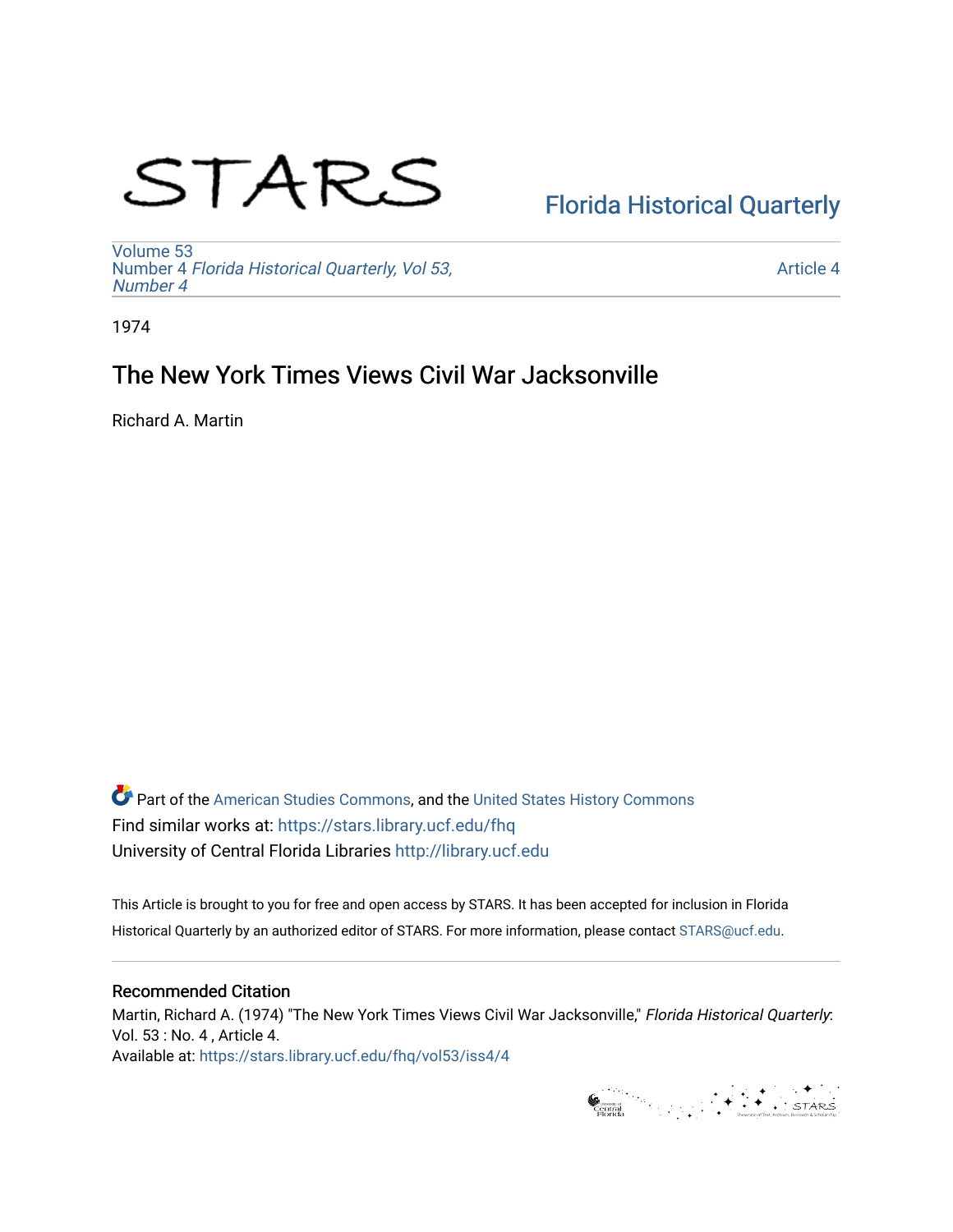# STARS

# [Florida Historical Quarterly](https://stars.library.ucf.edu/fhq)

[Volume 53](https://stars.library.ucf.edu/fhq/vol53) Number 4 [Florida Historical Quarterly, Vol 53,](https://stars.library.ucf.edu/fhq/vol53/iss4)  [Number 4](https://stars.library.ucf.edu/fhq/vol53/iss4)

[Article 4](https://stars.library.ucf.edu/fhq/vol53/iss4/4) 

1974

## The New York Times Views Civil War Jacksonville

Richard A. Martin

**C** Part of the [American Studies Commons](http://network.bepress.com/hgg/discipline/439?utm_source=stars.library.ucf.edu%2Ffhq%2Fvol53%2Fiss4%2F4&utm_medium=PDF&utm_campaign=PDFCoverPages), and the United States History Commons Find similar works at: <https://stars.library.ucf.edu/fhq> University of Central Florida Libraries [http://library.ucf.edu](http://library.ucf.edu/) 

This Article is brought to you for free and open access by STARS. It has been accepted for inclusion in Florida Historical Quarterly by an authorized editor of STARS. For more information, please contact [STARS@ucf.edu.](mailto:STARS@ucf.edu)

## Recommended Citation

Martin, Richard A. (1974) "The New York Times Views Civil War Jacksonville," Florida Historical Quarterly: Vol. 53 : No. 4 , Article 4. Available at: [https://stars.library.ucf.edu/fhq/vol53/iss4/4](https://stars.library.ucf.edu/fhq/vol53/iss4/4?utm_source=stars.library.ucf.edu%2Ffhq%2Fvol53%2Fiss4%2F4&utm_medium=PDF&utm_campaign=PDFCoverPages) 

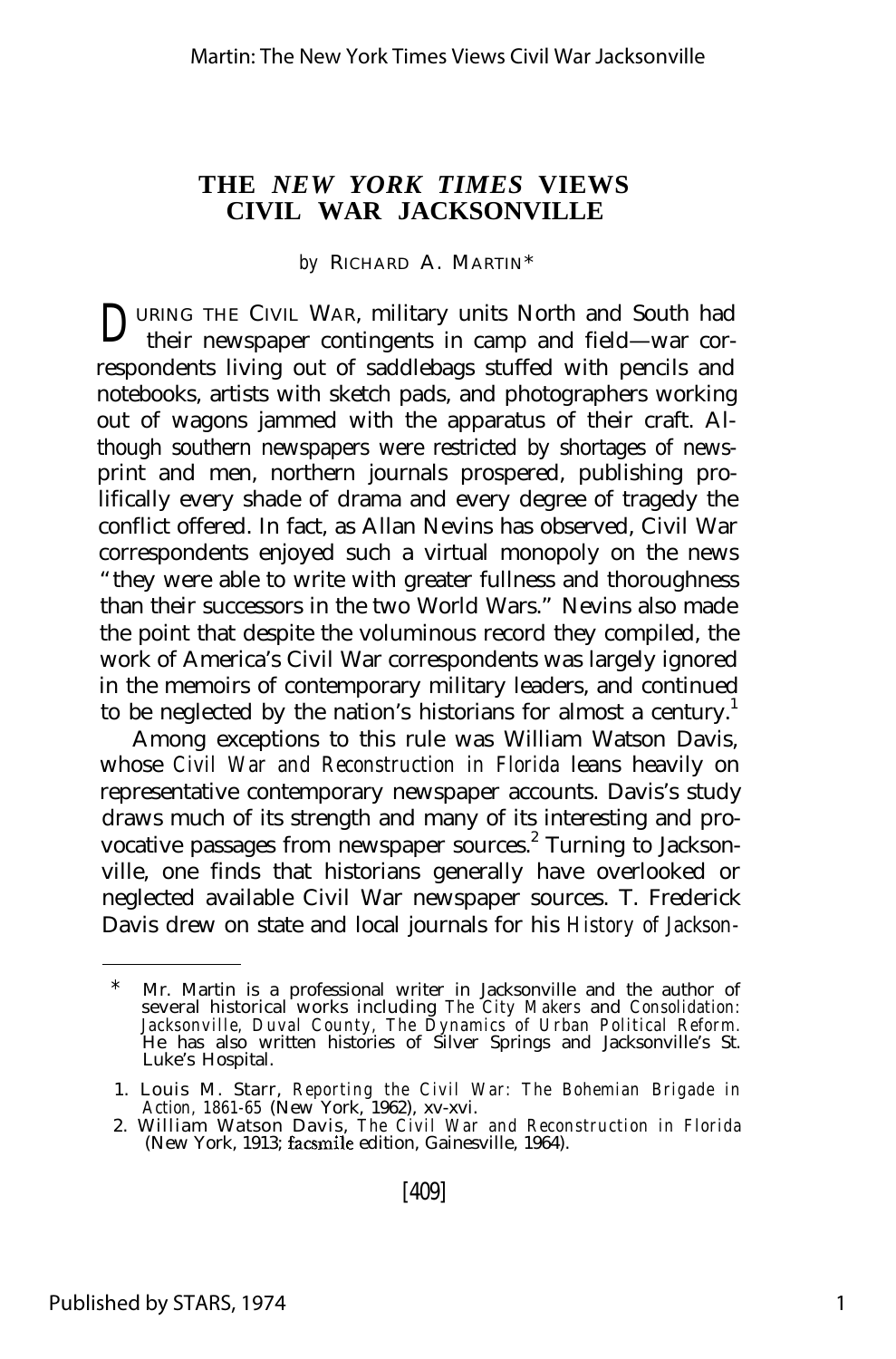### **THE** *NEW YORK TIMES* **VIEWS CIVIL WAR JACKSONVILLE**

*by* RICHARD A. MARTIN\*

**D**URING THE CIVIL WAR, military units North and South had their newspaper contingents in camp and field– war cortheir newspaper contingents in camp and field— war correspondents living out of saddlebags stuffed with pencils and notebooks, artists with sketch pads, and photographers working out of wagons jammed with the apparatus of their craft. Although southern newspapers were restricted by shortages of newsprint and men, northern journals prospered, publishing prolifically every shade of drama and every degree of tragedy the conflict offered. In fact, as Allan Nevins has observed, Civil War correspondents enjoyed such a virtual monopoly on the news "they were able to write with greater fullness and thoroughness than their successors in the two World Wars." Nevins also made the point that despite the voluminous record they compiled, the work of America's Civil War correspondents was largely ignored in the memoirs of contemporary military leaders, and continued to be neglected by the nation's historians for almost a century.<sup>1</sup>

Among exceptions to this rule was William Watson Davis, whose *Civil War and Reconstruction in Florida* leans heavily on representative contemporary newspaper accounts. Davis's study draws much of its strength and many of its interesting and provocative passages from newspaper sources.<sup>2</sup> Turning to Jacksonville, one finds that historians generally have overlooked or neglected available Civil War newspaper sources. T. Frederick Davis drew on state and local journals for his *History of Jackson-*

<sup>\*</sup> Mr. Martin is a professional writer in Jacksonville and the author of several historical works including *The City Makers* and *Consolidation: Jacksonville, Duval County, The Dynamics of Urban Political Reform.* He has a Luke's Hospital.

<sup>1.</sup> Louis M. Starr, *Reporting the Civil War: The Bohemian Brigade in*

*Action, 1861-65* (New York, 1962), xv-xvi. 2. William Watson Davis, *The Civil War and Reconstruction in Florida* (New York, 1913; facsmile edition, Gainesville, 1964).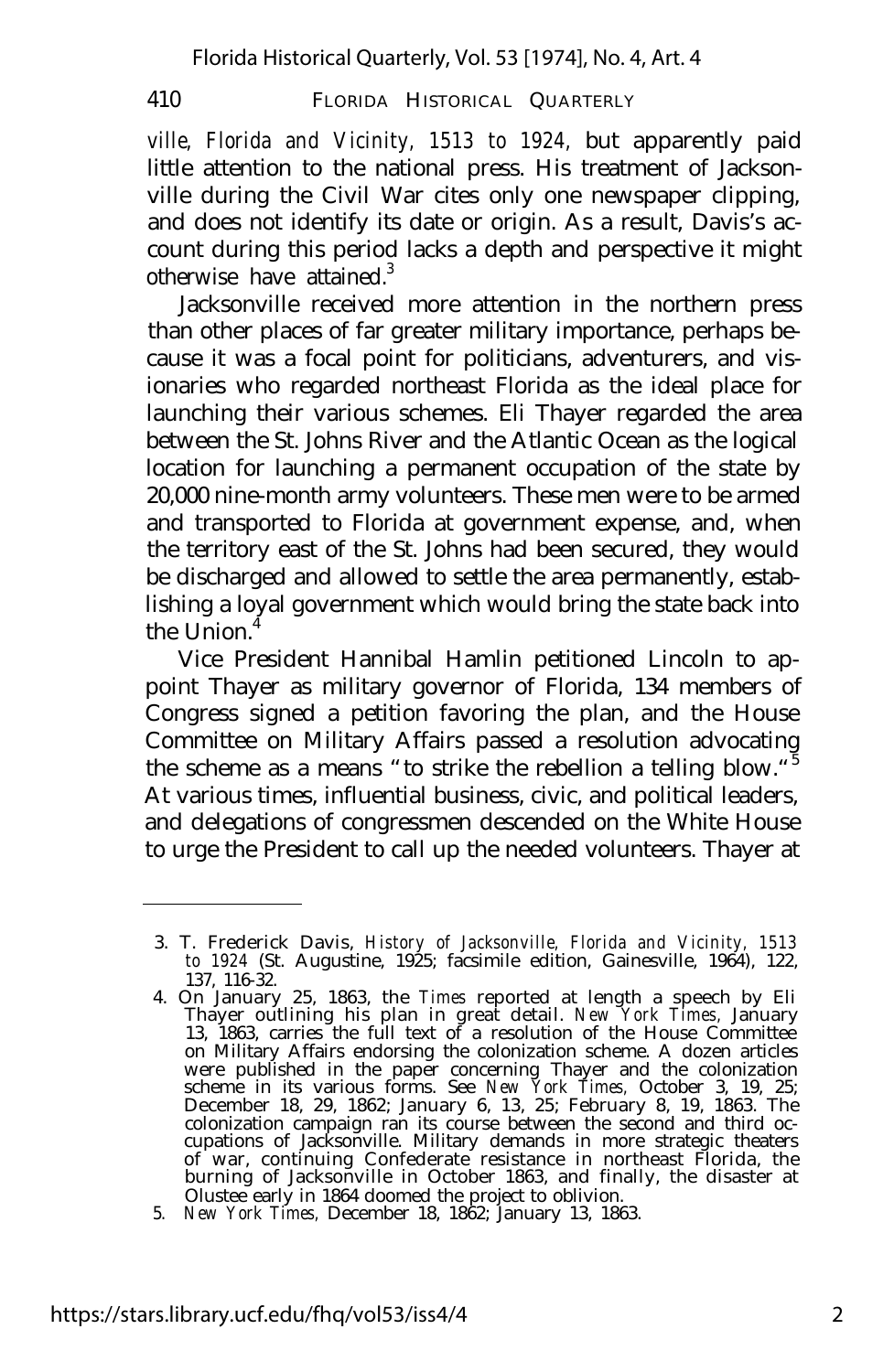*ville, Florida and Vicinity, 1513 to 1924,* but apparently paid little attention to the national press. His treatment of Jacksonville during the Civil War cites only one newspaper clipping, and does not identify its date or origin. As a result, Davis's account during this period lacks a depth and perspective it might otherwise have attained.<sup>3</sup>

Jacksonville received more attention in the northern press than other places of far greater military importance, perhaps because it was a focal point for politicians, adventurers, and visionaries who regarded northeast Florida as the ideal place for launching their various schemes. Eli Thayer regarded the area between the St. Johns River and the Atlantic Ocean as the logical location for launching a permanent occupation of the state by 20,000 nine-month army volunteers. These men were to be armed and transported to Florida at government expense, and, when the territory east of the St. Johns had been secured, they would be discharged and allowed to settle the area permanently, establishing a loyal government which would bring the state back into the Union.

Vice President Hannibal Hamlin petitioned Lincoln to appoint Thayer as military governor of Florida, 134 members of Congress signed a petition favoring the plan, and the House Committee on Military Affairs passed a resolution advocating the scheme as a means "to strike the rebellion a telling blow."<sup>5</sup> At various times, influential business, civic, and political leaders, and delegations of congressmen descended on the White House to urge the President to call up the needed volunteers. Thayer at

<sup>3.</sup> T. Frederick Davis, *History of Jacksonville, Florida and Vicinity, 1513 to 1924* (St. Augustine, 1925; facsimile edition, Gainesville, 1964), 122, 137, 116-32.

<sup>4.</sup> On January 25, 1863, the *Times* reported at length a speech by Eli Thayer outlining his plan in great detail. *New York Times,* January 13, 1863, carries the full text of a resolution of the House Committee on Military Affairs endorsing the colonization scheme. A dozen articles were published in the paper concerning Thayer and the colonization scheme in its various forms. See *New York Times,* October 3, 19, 25; December 18, 29, 1862; January 6, 13, 25; February 8, 19, 1863. The colonization campaign ran its course between the second and third occupations of Jacksonville. Military demands in more strategic theaters of war, continuing Confederate resistance in northeast Florida, the burning of Jacksonville in October 1863, and finally, the disaster at Olustee early in 1864 doomed the project to oblivion.

<sup>5.</sup> *New York Times,* December 18, 1862; January 13, 1863.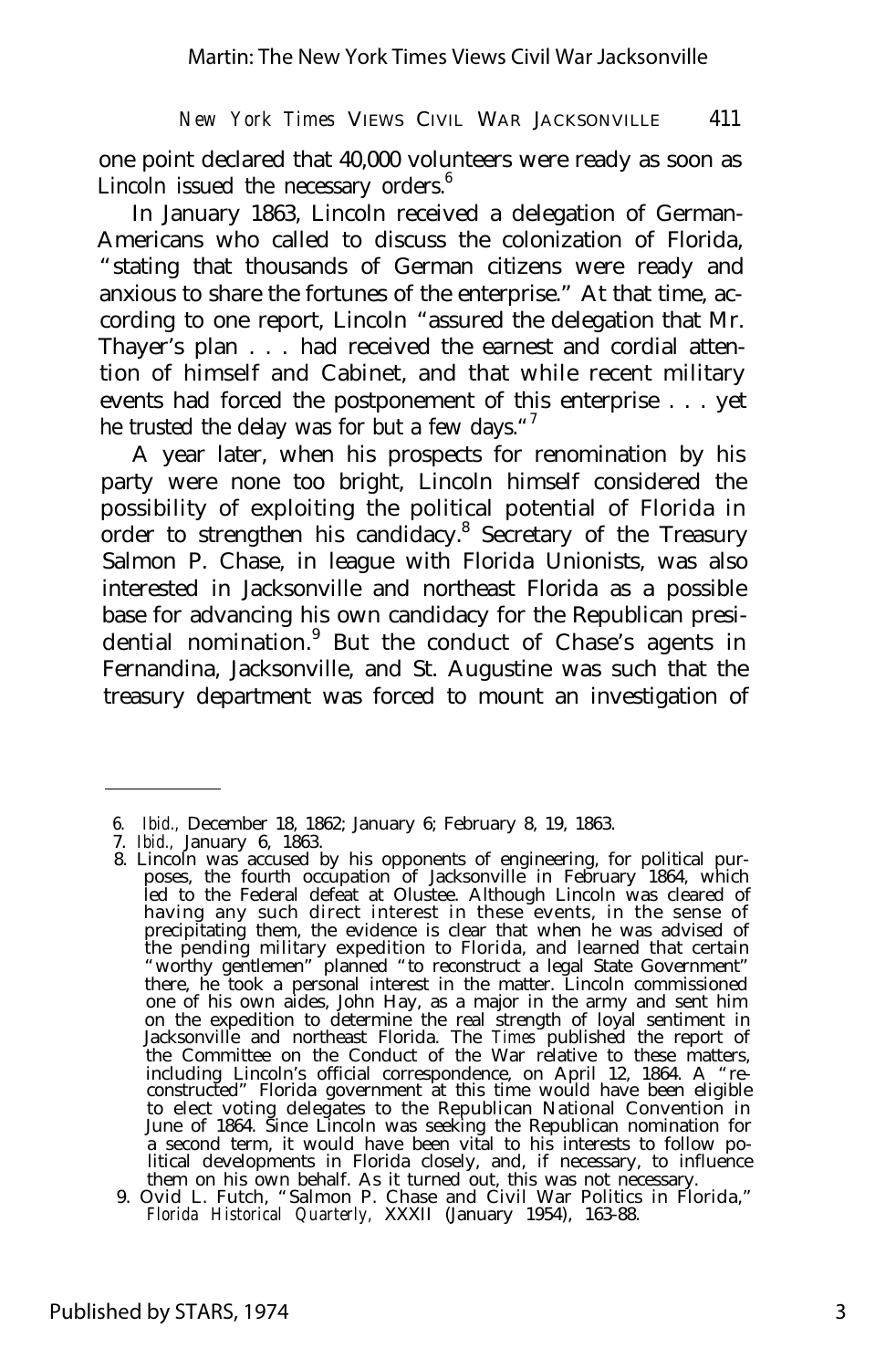one point declared that 40,000 volunteers were ready as soon as Lincoln issued the necessary orders. $6$ 

In January 1863, Lincoln received a delegation of German-Americans who called to discuss the colonization of Florida, "stating that thousands of German citizens were ready and anxious to share the fortunes of the enterprise." At that time, according to one report, Lincoln "assured the delegation that Mr. Thayer's plan . . . had received the earnest and cordial attention of himself and Cabinet, and that while recent military events had forced the postponement of this enterprise . . . yet he trusted the delay was for but a few days."<sup>7</sup>

A year later, when his prospects for renomination by his party were none too bright, Lincoln himself considered the possibility of exploiting the political potential of Florida in order to strengthen his candidacy.<sup>8</sup> Secretary of the Treasury Salmon P. Chase, in league with Florida Unionists, was also interested in Jacksonville and northeast Florida as a possible base for advancing his own candidacy for the Republican presidential nomination.<sup>9</sup> But the conduct of Chase's agents in Fernandina, Jacksonville, and St. Augustine was such that the treasury department was forced to mount an investigation of

<sup>6.</sup> *Ibid.,* December 18, 1862; January 6; February 8, 19, 1863. 7. *Ibid.,* January 6, 1863. 8. Lincoln was accused by his opponents of engineering, for political purposes, the fourth occupation of Jacksonville in February 1864, which led to the Federal defeat at Olustee. Although Lincoln was cleared of<br>having any such direct interest in these events, in the sense of<br>precipitating them, the evidence is clear that when he was advised of<br>the pending milit there, he took a personal interest in the matter. Lincoln commissioned<br>one of his own aides, John Hay, as a major in the army and sent him<br>on the expedition to determine the real strength of loyal sentiment in<br>Jacksonville the Committee on the Conduct of the War relative to these matters, including Lincoln's official correspondence, on April 12, 1864. A "re-constructed" Florida government at this time would have been eligible to elect voting delegates to the Republican National Convention in<br>June of 1864. Since Lincoln was seeking the Republican nomination for<br>a second term, it would have been vital to his interests to follow po-<br>litical develo

them on his own behalf. As it turned out, this was not necessary. 9. Ovid L. Futch, "Salmon P. Chase and Civil War Politics in Florida," *Florida Historical Quarterly,* XXXII (January 1954), 163-88.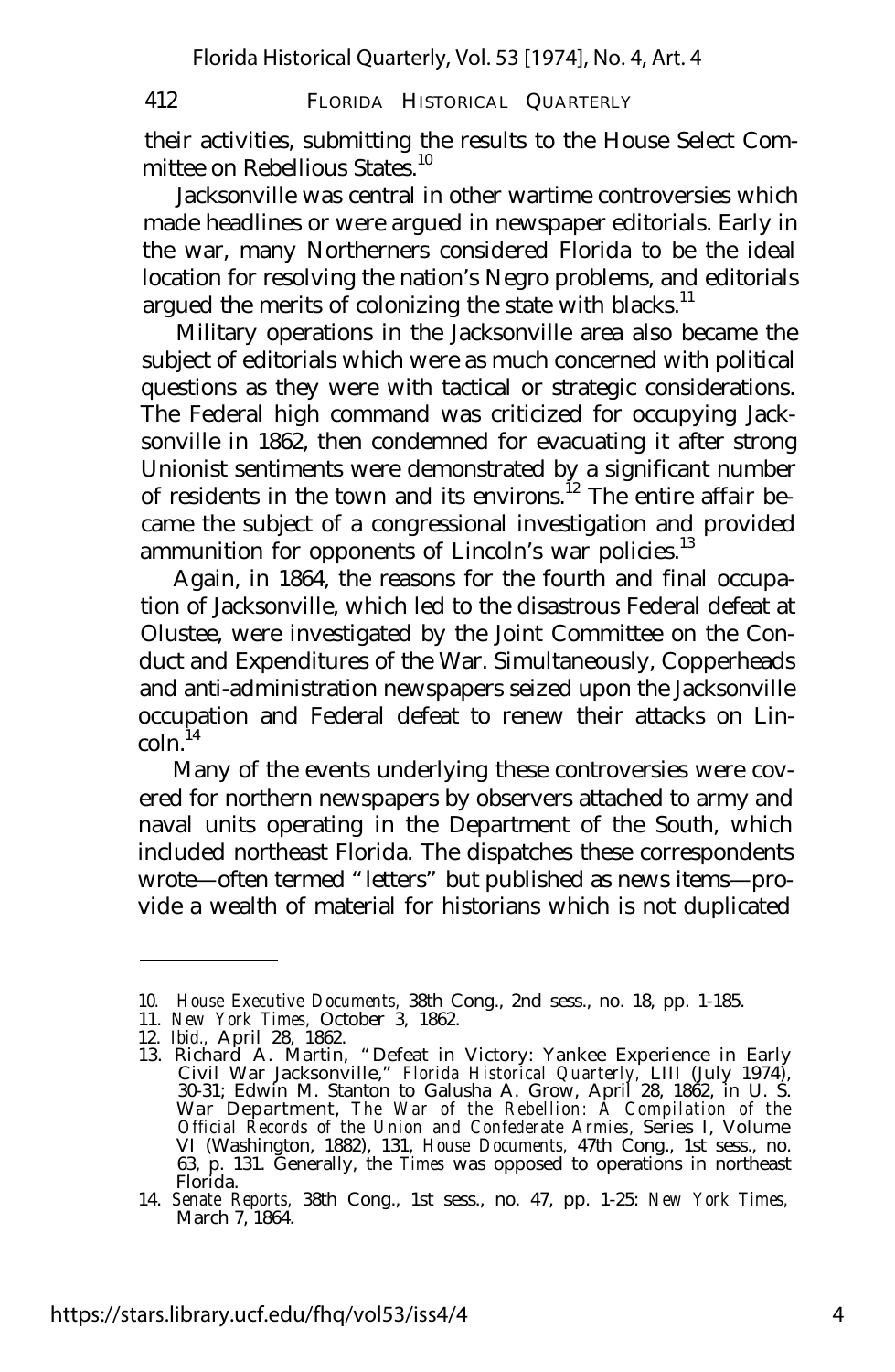their activities, submitting the results to the House Select Committee on Rebellious States.<sup>10</sup>

Jacksonville was central in other wartime controversies which made headlines or were argued in newspaper editorials. Early in the war, many Northerners considered Florida to be the ideal location for resolving the nation's Negro problems, and editorials argued the merits of colonizing the state with blacks. $^{11}$ 

Military operations in the Jacksonville area also became the subject of editorials which were as much concerned with political questions as they were with tactical or strategic considerations. The Federal high command was criticized for occupying Jacksonville in 1862, then condemned for evacuating it after strong Unionist sentiments were demonstrated by a significant number of residents in the town and its environs.<sup>12</sup> The entire affair became the subject of a congressional investigation and provided ammunition for opponents of Lincoln's war policies. $^{13}$ 

Again, in 1864, the reasons for the fourth and final occupation of Jacksonville, which led to the disastrous Federal defeat at Olustee, were investigated by the Joint Committee on the Conduct and Expenditures of the War. Simultaneously, Copperheads and anti-administration newspapers seized upon the Jacksonville occupation and Federal defeat to renew their attacks on Lin- $\text{coln}$   $\overline{14}$ 

Many of the events underlying these controversies were covered for northern newspapers by observers attached to army and naval units operating in the Department of the South, which included northeast Florida. The dispatches these correspondents wrote— often termed "letters" but published as news items— provide a wealth of material for historians which is not duplicated

<sup>10.</sup> *House Executive Documents,* 38th Cong., 2nd sess., no. 18, pp. 1-185.

<sup>11.</sup> *New York Times,* October 3, 1862.

<sup>12.</sup> *Ibid.,* April 28, 1862.

<sup>13.</sup> Richard A. Martin, "Defeat in Victory: Yankee Experience in Early<br>Civil War Jacksonville," *Florida Historical Quarterly*, LIII (July 1974),<br>30-31; Edwin M. Stanton to Galusha A. Grow, April 28, 1862, in U. S.<br>War Depa *Official Records of the Union and Confederate Armies,* Series I, Volume VI (Washington, 1882), 131, *House Documents,* 47th Cong., 1st sess., no. 63, p. 131. Generally, the *Times* was opposed to operations in northeast Florida.

<sup>14.</sup> *Senate Reports,* 38th Cong., 1st sess., no. 47, pp. 1-25: *New York Times,* March 7, 1864.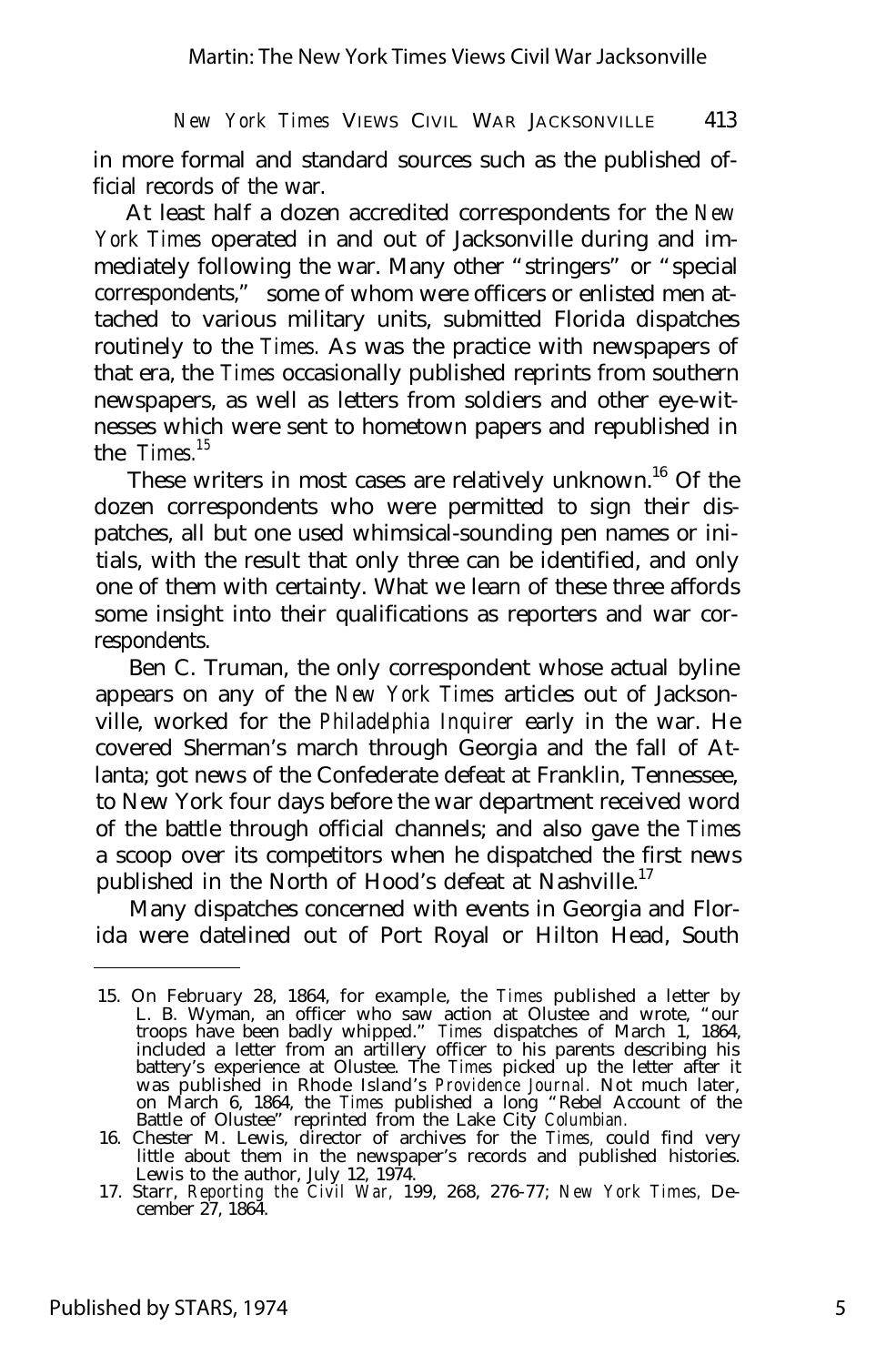in more formal and standard sources such as the published official records of the war.

At least half a dozen accredited correspondents for the *New York Times* operated in and out of Jacksonville during and immediately following the war. Many other "stringers" or "special correspondents," some of whom were officers or enlisted men attached to various military units, submitted Florida dispatches routinely to the *Times.* As was the practice with newspapers of that era, the *Times* occasionally published reprints from southern newspapers, as well as letters from soldiers and other eye-witnesses which were sent to hometown papers and republished in the *Times.<sup>15</sup>*

These writers in most cases are relatively unknown.<sup>16</sup> Of the dozen correspondents who were permitted to sign their dispatches, all but one used whimsical-sounding pen names or initials, with the result that only three can be identified, and only one of them with certainty. What we learn of these three affords some insight into their qualifications as reporters and war correspondents.

Ben C. Truman, the only correspondent whose actual byline appears on any of the *New York Times* articles out of Jacksonville, worked for the *Philadelphia Inquirer* early in the war. He covered Sherman's march through Georgia and the fall of Atlanta; got news of the Confederate defeat at Franklin, Tennessee, to New York four days before the war department received word of the battle through official channels; and also gave the *Times* a scoop over its competitors when he dispatched the first news published in the North of Hood's defeat at Nashville.<sup>17</sup>

Many dispatches concerned with events in Georgia and Florida were datelined out of Port Royal or Hilton Head, South

<sup>15.</sup> On February 28, 1864, for example, the *Times* published a letter by L. B. Wyman, an officer who saw action at Olustee and wrote, "our troops have been badly whipped." *Times* dispatches of March 1, 1864, included a le was published in Rhode Island's *Providence Journal.* Not much later, on March 6, 1864, the *Times* published a long "Rebel Account of the Battle of Olustee" reprinted from the Lake City *Columbian.*

<sup>16.</sup> Chester M. Lewis, director of archives for the *Times,* could find very little about them in the newspaper's records and published histories.

Lewis to the author, July 12, 1974. 17. Starr, *Reporting the Civil War,* 199, 268, 276-77; *New York Times,* December 27, 1864.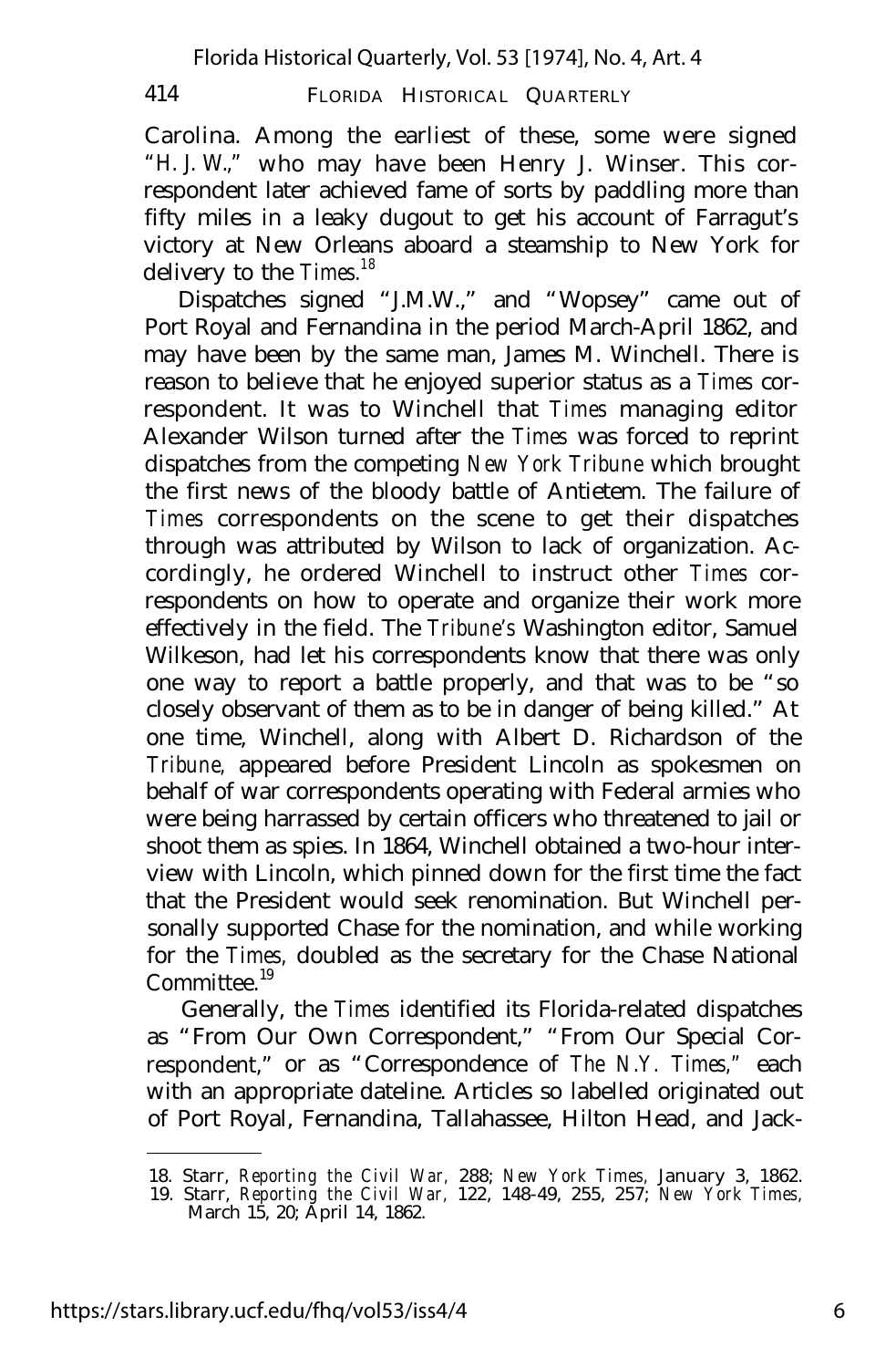Carolina. Among the earliest of these, some were signed "H. J. W.," who may have been Henry J. Winser. This correspondent later achieved fame of sorts by paddling more than fifty miles in a leaky dugout to get his account of Farragut's victory at New Orleans aboard a steamship to New York for delivery to the *Times.<sup>18</sup>*

Dispatches signed "J.M.W.," and "Wopsey" came out of Port Royal and Fernandina in the period March-April 1862, and may have been by the same man, James M. Winchell. There is reason to believe that he enjoyed superior status as a *Times* correspondent. It was to Winchell that *Times* managing editor Alexander Wilson turned after the *Times* was forced to reprint dispatches from the competing *New York Tribune* which brought the first news of the bloody battle of Antietem. The failure of *Times* correspondents on the scene to get their dispatches through was attributed by Wilson to lack of organization. Accordingly, he ordered Winchell to instruct other *Times* correspondents on how to operate and organize their work more effectively in the field. The *Tribune's* Washington editor, Samuel Wilkeson, had let his correspondents know that there was only one way to report a battle properly, and that was to be "so closely observant of them as to be in danger of being killed." At one time, Winchell, along with Albert D. Richardson of the *Tribune,* appeared before President Lincoln as spokesmen on behalf of war correspondents operating with Federal armies who were being harrassed by certain officers who threatened to jail or shoot them as spies. In 1864, Winchell obtained a two-hour interview with Lincoln, which pinned down for the first time the fact that the President would seek renomination. But Winchell personally supported Chase for the nomination, and while working for the *Times,* doubled as the secretary for the Chase National Committee.<sup>19</sup>

Generally, the *Times* identified its Florida-related dispatches as "From Our Own Correspondent," "From Our Special Correspondent," or as "Correspondence of *The N.Y. Times,"* each with an appropriate dateline. Articles so labelled originated out of Port Royal, Fernandina, Tallahassee, Hilton Head, and Jack-

<sup>18.</sup> Starr, *Reporting the Civil War,* 288; *New York Times,* January 3, 1862. 19. Starr, *Reporting the Civil War,* 122, 148-49, 255, 257; *New York Times,* March 15, 20; April 14, 1862.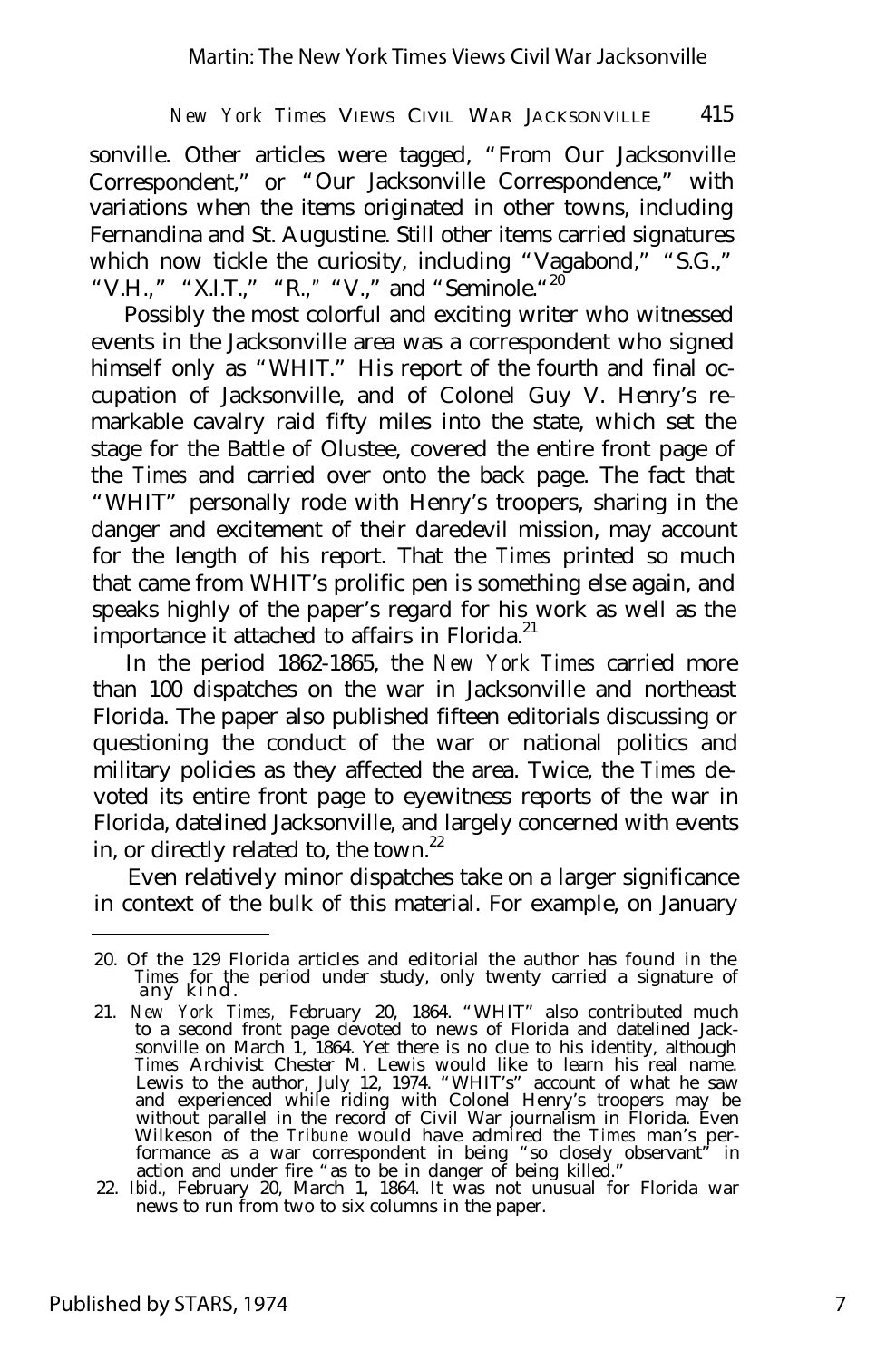sonville. Other articles were tagged, "From Our Jacksonville Correspondent," or "Our Jacksonville Correspondence," with variations when the items originated in other towns, including Fernandina and St. Augustine. Still other items carried signatures which now tickle the curiosity, including "Vagabond," "S.G.," "V.H.," "X.I.T.," "R.," "V.," and "Seminole."<sup>20</sup>

Possibly the most colorful and exciting writer who witnessed events in the Jacksonville area was a correspondent who signed himself only as "WHIT." His report of the fourth and final occupation of Jacksonville, and of Colonel Guy V. Henry's remarkable cavalry raid fifty miles into the state, which set the stage for the Battle of Olustee, covered the entire front page of the *Times* and carried over onto the back page. The fact that "WHIT" personally rode with Henry's troopers, sharing in the danger and excitement of their daredevil mission, may account for the length of his report. That the *Times* printed so much that came from WHIT's prolific pen is something else again, and speaks highly of the paper's regard for his work as well as the importance it attached to affairs in Florida.<sup>21</sup>

In the period 1862-1865, the *New York Times* carried more than 100 dispatches on the war in Jacksonville and northeast Florida. The paper also published fifteen editorials discussing or questioning the conduct of the war or national politics and military policies as they affected the area. Twice, the *Times* devoted its entire front page to eyewitness reports of the war in Florida, datelined Jacksonville, and largely concerned with events in, or directly related to, the town.<sup>22</sup>

Even relatively minor dispatches take on a larger significance in context of the bulk of this material. For example, on January

<sup>20.</sup> Of the 129 Florida articles and editorial the author has found in the *Times* for the period under study, only twenty carried a signature of any kind.

<sup>21.</sup> New York Times, February 20, 1864. "WHIT" also contributed much<br>to a second front page devoted to news of Florida and datelined Jack-<br>sonville on March 1, 1864. Yet there is no clue to his identity, although<br>Times Arch

action and under fire "as to be in danger of being killed." 22. *Ibid.,* February 20, March 1, 1864. It was not unusual for Florida war news to run from two to six columns in the paper.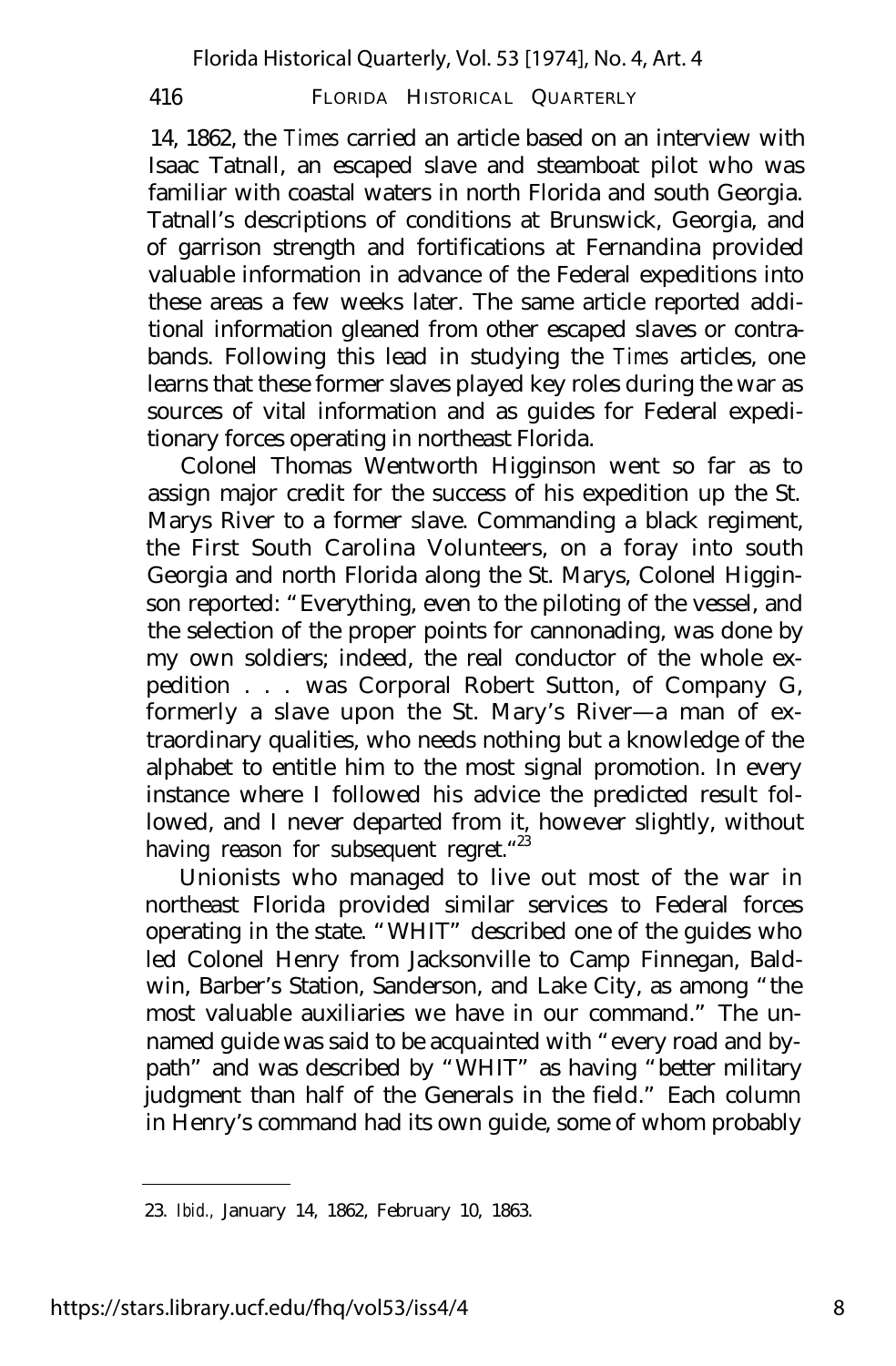14, 1862, the *Times* carried an article based on an interview with Isaac Tatnall, an escaped slave and steamboat pilot who was familiar with coastal waters in north Florida and south Georgia. Tatnall's descriptions of conditions at Brunswick, Georgia, and of garrison strength and fortifications at Fernandina provided valuable information in advance of the Federal expeditions into these areas a few weeks later. The same article reported additional information gleaned from other escaped slaves or contrabands. Following this lead in studying the *Times* articles, one learns that these former slaves played key roles during the war as sources of vital information and as guides for Federal expeditionary forces operating in northeast Florida.

Colonel Thomas Wentworth Higginson went so far as to assign major credit for the success of his expedition up the St. Marys River to a former slave. Commanding a black regiment, the First South Carolina Volunteers, on a foray into south Georgia and north Florida along the St. Marys, Colonel Higginson reported: "Everything, even to the piloting of the vessel, and the selection of the proper points for cannonading, was done by my own soldiers; indeed, the real conductor of the whole expedition . . . was Corporal Robert Sutton, of Company G, formerly a slave upon the St. Mary's River— a man of extraordinary qualities, who needs nothing but a knowledge of the alphabet to entitle him to the most signal promotion. In every instance where I followed his advice the predicted result followed, and I never departed from it, however slightly, without having reason for subsequent regret."<sup>23</sup>

Unionists who managed to live out most of the war in northeast Florida provided similar services to Federal forces operating in the state. "WHIT" described one of the guides who led Colonel Henry from Jacksonville to Camp Finnegan, Baldwin, Barber's Station, Sanderson, and Lake City, as among "the most valuable auxiliaries we have in our command." The unnamed guide was said to be acquainted with "every road and bypath" and was described by "WHIT" as having "better military judgment than half of the Generals in the field." Each column in Henry's command had its own guide, some of whom probably

<sup>23.</sup> *Ibid.,* January 14, 1862, February 10, 1863.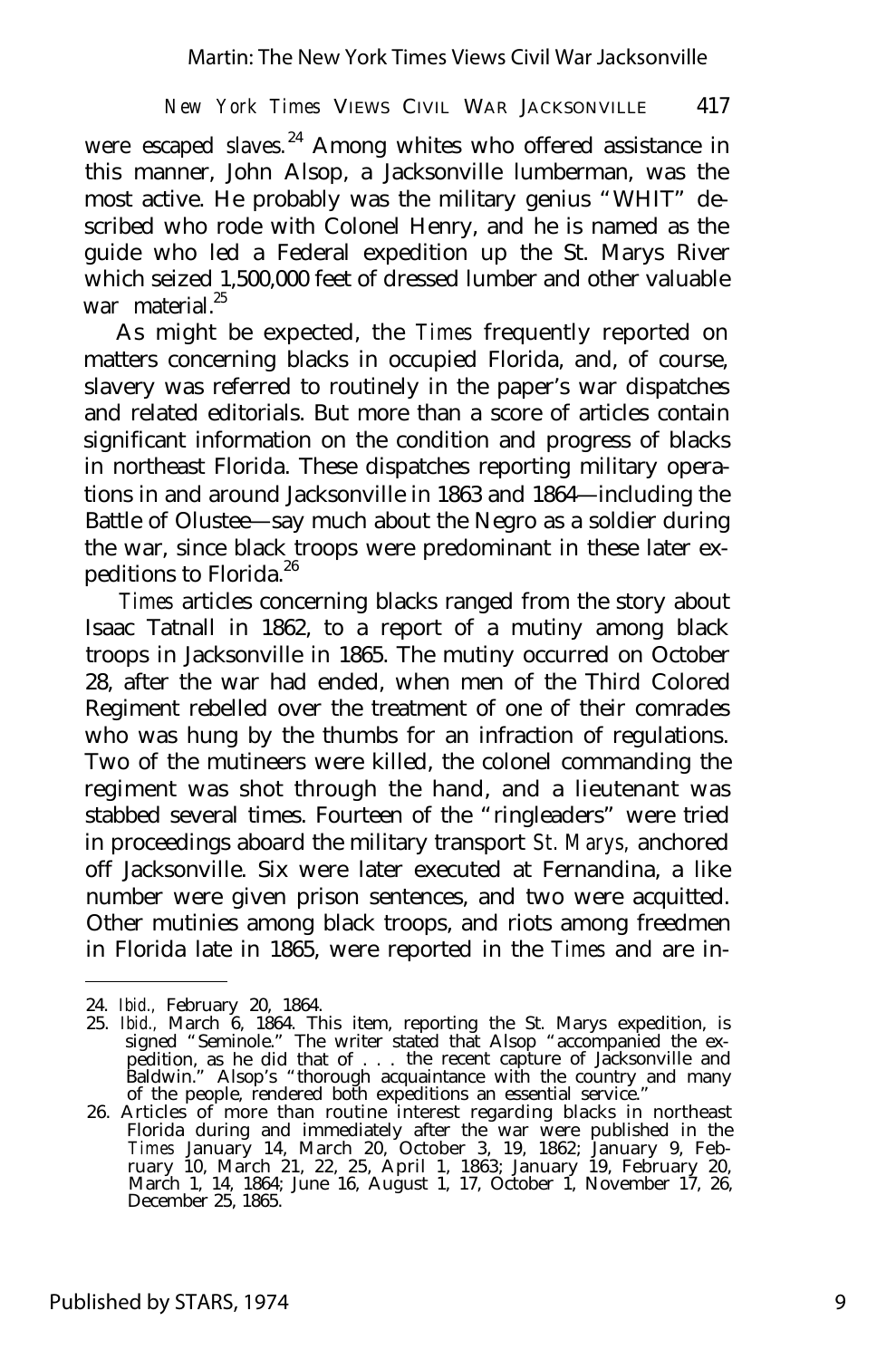were escaped slaves.<sup>24</sup> Among whites who offered assistance in this manner, John Alsop, a Jacksonville lumberman, was the most active. He probably was the military genius "WHIT" described who rode with Colonel Henry, and he is named as the guide who led a Federal expedition up the St. Marys River which seized 1,500,000 feet of dressed lumber and other valuable war material.<sup>25</sup>

As might be expected, the *Times* frequently reported on matters concerning blacks in occupied Florida, and, of course, slavery was referred to routinely in the paper's war dispatches and related editorials. But more than a score of articles contain significant information on the condition and progress of blacks in northeast Florida. These dispatches reporting military operations in and around Jacksonville in 1863 and 1864— including the Battle of Olustee— say much about the Negro as a soldier during the war, since black troops were predominant in these later expeditions to Florida.<sup>26</sup>

*Times* articles concerning blacks ranged from the story about Isaac Tatnall in 1862, to a report of a mutiny among black troops in Jacksonville in 1865. The mutiny occurred on October 28, after the war had ended, when men of the Third Colored Regiment rebelled over the treatment of one of their comrades who was hung by the thumbs for an infraction of regulations. Two of the mutineers were killed, the colonel commanding the regiment was shot through the hand, and a lieutenant was stabbed several times. Fourteen of the "ringleaders" were tried in proceedings aboard the military transport *St. Marys,* anchored off Jacksonville. Six were later executed at Fernandina, a like number were given prison sentences, and two were acquitted. Other mutinies among black troops, and riots among freedmen in Florida late in 1865, were reported in the *Times* and are in-

<sup>24.</sup> *Ibid.*, February 20, 1864.<br>
25. *Ibid.*, March 6, 1864. This item, reporting the St. Marys expedition, is<br>
signed "Seminole." The writer stated that Alsop "accompanied the ex-<br>
pedition, as he did that of . . . the re

<sup>26.</sup> Articles of more than routine interest regarding blacks in northeast Florida during and immediately after the war were published in the *Times* January 14, March 20, October 3, 19, 1862; January 9, February 10, March 21, 22, 25, April 1, 1863; January 19, February 20, March 1, 14, 1864; June 16, August 1, 17, October 1, November 17, 26, December 25, 1865.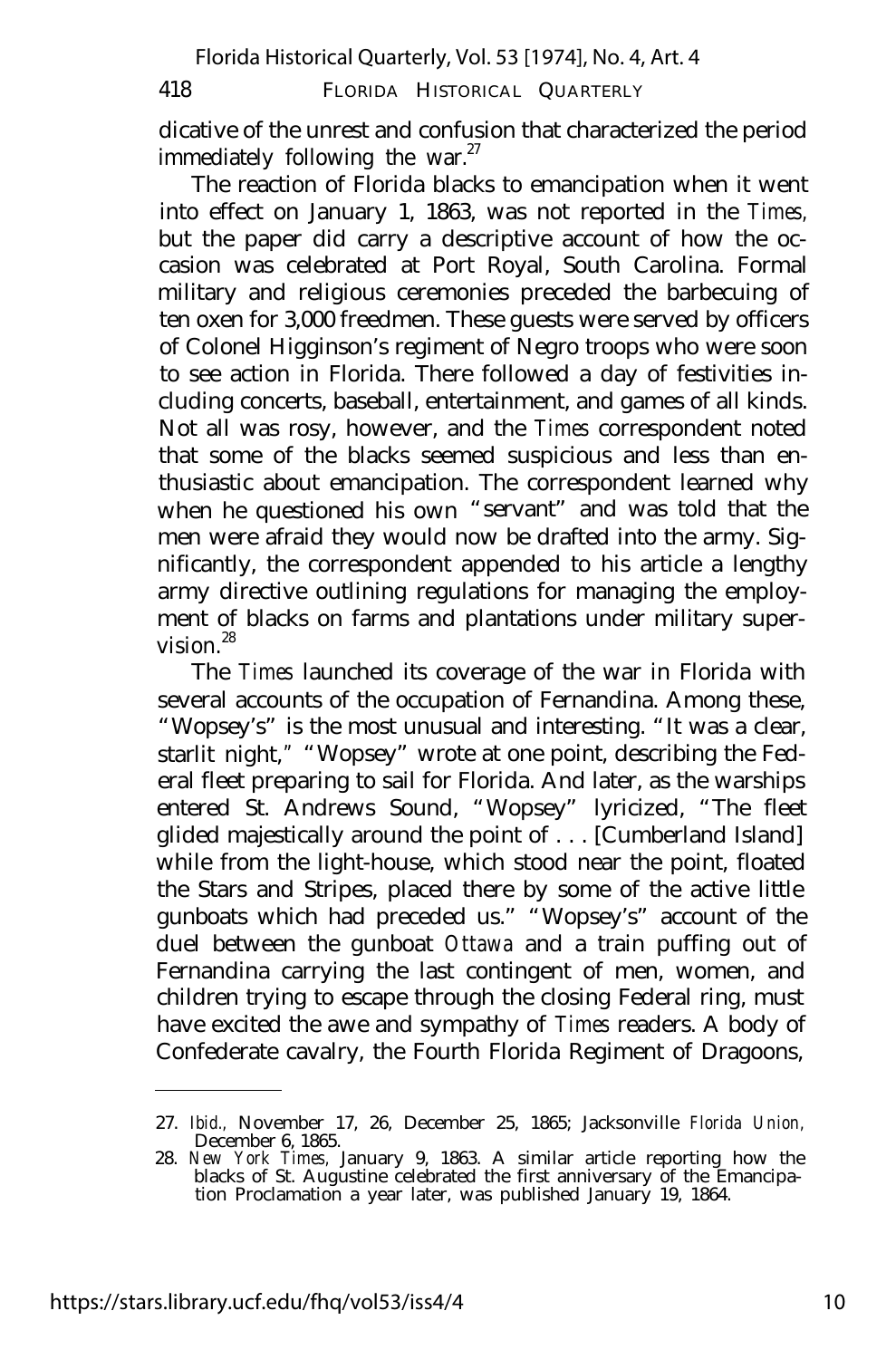dicative of the unrest and confusion that characterized the period immediately following the war. $27$ 

The reaction of Florida blacks to emancipation when it went into effect on January 1, 1863, was not reported in the *Times,* but the paper did carry a descriptive account of how the occasion was celebrated at Port Royal, South Carolina. Formal military and religious ceremonies preceded the barbecuing of ten oxen for 3,000 freedmen. These guests were served by officers of Colonel Higginson's regiment of Negro troops who were soon to see action in Florida. There followed a day of festivities including concerts, baseball, entertainment, and games of all kinds. Not all was rosy, however, and the *Times* correspondent noted that some of the blacks seemed suspicious and less than enthusiastic about emancipation. The correspondent learned why when he questioned his own "servant" and was told that the men were afraid they would now be drafted into the army. Significantly, the correspondent appended to his article a lengthy army directive outlining regulations for managing the employment of blacks on farms and plantations under military supervision. $^{28}$ 

The *Times* launched its coverage of the war in Florida with several accounts of the occupation of Fernandina. Among these, "Wopsey's" is the most unusual and interesting. "It was a clear, starlit night," "Wopsey" wrote at one point, describing the Federal fleet preparing to sail for Florida. And later, as the warships entered St. Andrews Sound, "Wopsey" lyricized, "The fleet glided majestically around the point of . . . [Cumberland Island] while from the light-house, which stood near the point, floated the Stars and Stripes, placed there by some of the active little gunboats which had preceded us." "Wopsey's" account of the duel between the gunboat *Ottawa* and a train puffing out of Fernandina carrying the last contingent of men, women, and children trying to escape through the closing Federal ring, must have excited the awe and sympathy of *Times* readers. A body of Confederate cavalry, the Fourth Florida Regiment of Dragoons,

<sup>27.</sup> *Ibid.,* November 17, 26, December 25, 1865; Jacksonville *Florida Union,*

December 6, 1865. 28. *New York Times,* January 9, 1863. A similar article reporting how the blacks of St. Augustine celebrated the first anniversary of the Emancipation Proclamation a year later, was published January 19, 1864.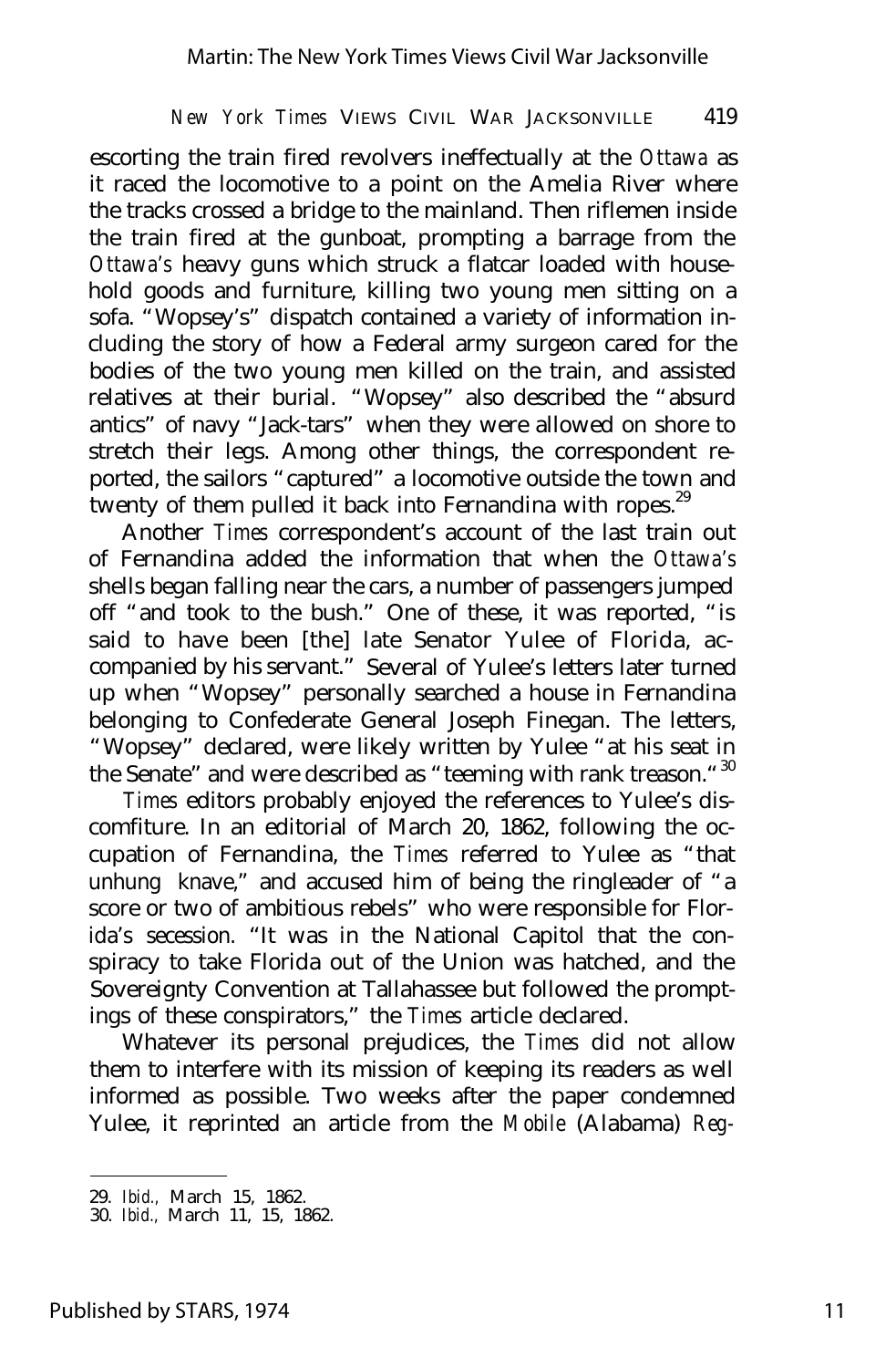escorting the train fired revolvers ineffectually at the *Ottawa* as it raced the locomotive to a point on the Amelia River where the tracks crossed a bridge to the mainland. Then riflemen inside the train fired at the gunboat, prompting a barrage from the *Ottawa's* heavy guns which struck a flatcar loaded with household goods and furniture, killing two young men sitting on a sofa. "Wopsey's" dispatch contained a variety of information including the story of how a Federal army surgeon cared for the bodies of the two young men killed on the train, and assisted relatives at their burial. "Wopsey" also described the "absurd antics" of navy "Jack-tars" when they were allowed on shore to stretch their legs. Among other things, the correspondent reported, the sailors "captured" a locomotive outside the town and twenty of them pulled it back into Fernandina with ropes.<sup>29</sup>

Another *Times* correspondent's account of the last train out of Fernandina added the information that when the *Ottawa's* shells began falling near the cars, a number of passengers jumped off "and took to the bush." One of these, it was reported, "is said to have been [the] late Senator Yulee of Florida, accompanied by his servant." Several of Yulee's letters later turned up when "Wopsey" personally searched a house in Fernandina belonging to Confederate General Joseph Finegan. The letters, "Wopsey" declared, were likely written by Yulee "at his seat in the Senate" and were described as "teeming with rank treason."<sup>30</sup>

*Times* editors probably enjoyed the references to Yulee's discomfiture. In an editorial of March 20, 1862, following the occupation of Fernandina, the *Times* referred to Yulee as "that unhung knave," and accused him of being the ringleader of "a score or two of ambitious rebels" who were responsible for Florida's secession. "It was in the National Capitol that the conspiracy to take Florida out of the Union was hatched, and the Sovereignty Convention at Tallahassee but followed the promptings of these conspirators," the *Times* article declared.

Whatever its personal prejudices, the *Times* did not allow them to interfere with its mission of keeping its readers as well informed as possible. Two weeks after the paper condemned Yulee, it reprinted an article from the *Mobile* (Alabama) *Reg-*

<sup>29.</sup> *Ibid.,* March 15, 1862.

<sup>30.</sup> *Ibid.,* March 11, 15, 1862.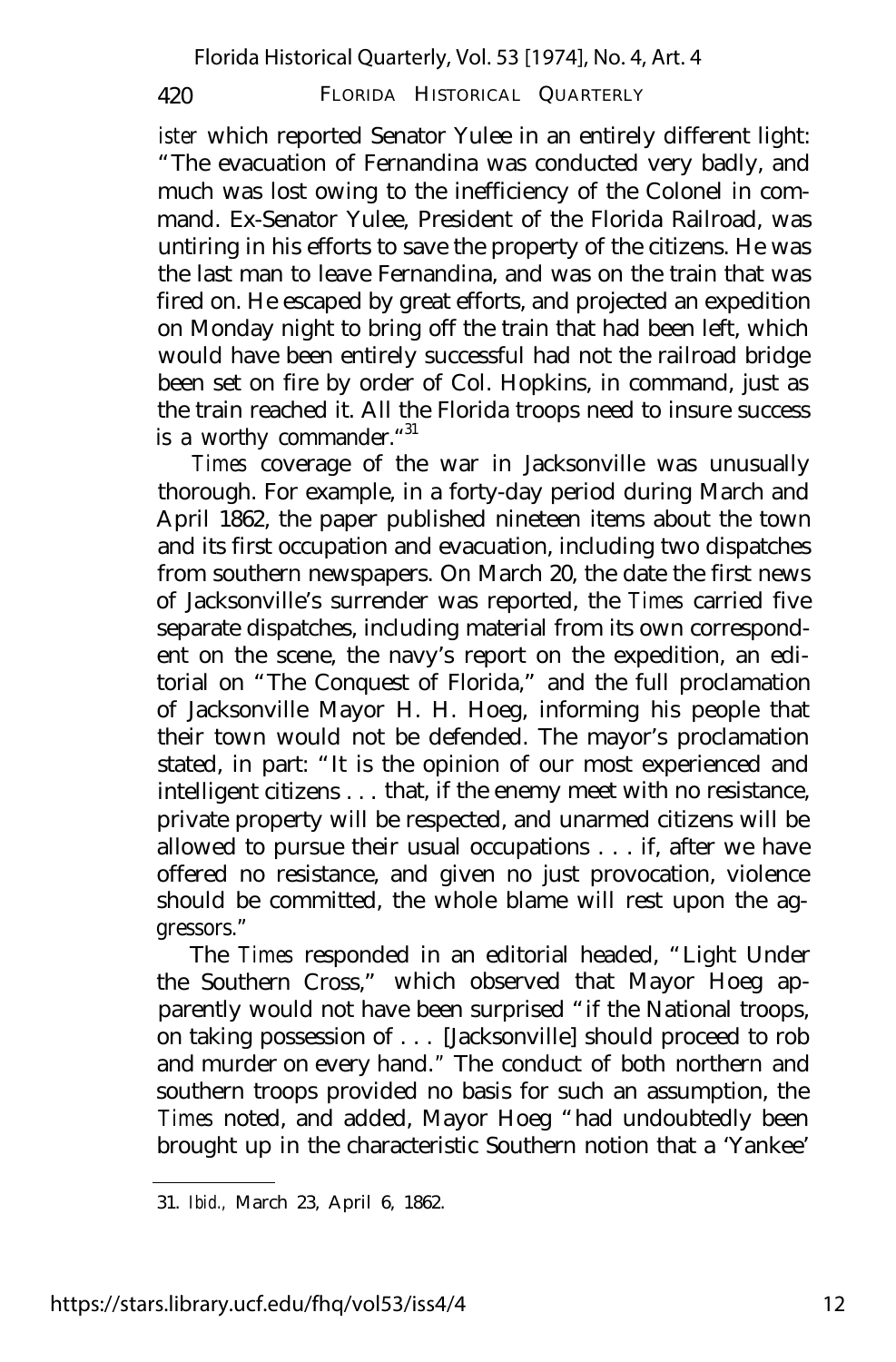*ister* which reported Senator Yulee in an entirely different light: "The evacuation of Fernandina was conducted very badly, and much was lost owing to the inefficiency of the Colonel in command. Ex-Senator Yulee, President of the Florida Railroad, was untiring in his efforts to save the property of the citizens. He was the last man to leave Fernandina, and was on the train that was fired on. He escaped by great efforts, and projected an expedition on Monday night to bring off the train that had been left, which would have been entirely successful had not the railroad bridge been set on fire by order of Col. Hopkins, in command, just as the train reached it. All the Florida troops need to insure success is a worthy commander."31

*Times* coverage of the war in Jacksonville was unusually thorough. For example, in a forty-day period during March and April 1862, the paper published nineteen items about the town and its first occupation and evacuation, including two dispatches from southern newspapers. On March 20, the date the first news of Jacksonville's surrender was reported, the *Times* carried five separate dispatches, including material from its own correspondent on the scene, the navy's report on the expedition, an editorial on "The Conquest of Florida," and the full proclamation of Jacksonville Mayor H. H. Hoeg, informing his people that their town would not be defended. The mayor's proclamation stated, in part: "It is the opinion of our most experienced and intelligent citizens . . . that, if the enemy meet with no resistance, private property will be respected, and unarmed citizens will be allowed to pursue their usual occupations . . . if, after we have offered no resistance, and given no just provocation, violence should be committed, the whole blame will rest upon the aggressors."

The *Times* responded in an editorial headed, "Light Under the Southern Cross," which observed that Mayor Hoeg apparently would not have been surprised "if the National troops, on taking possession of . . . [Jacksonville] should proceed to rob and murder on every hand." The conduct of both northern and southern troops provided no basis for such an assumption, the *Times* noted, and added, Mayor Hoeg "had undoubtedly been brought up in the characteristic Southern notion that a 'Yankee'

<sup>31.</sup> *Ibid.,* March 23, April 6, 1862.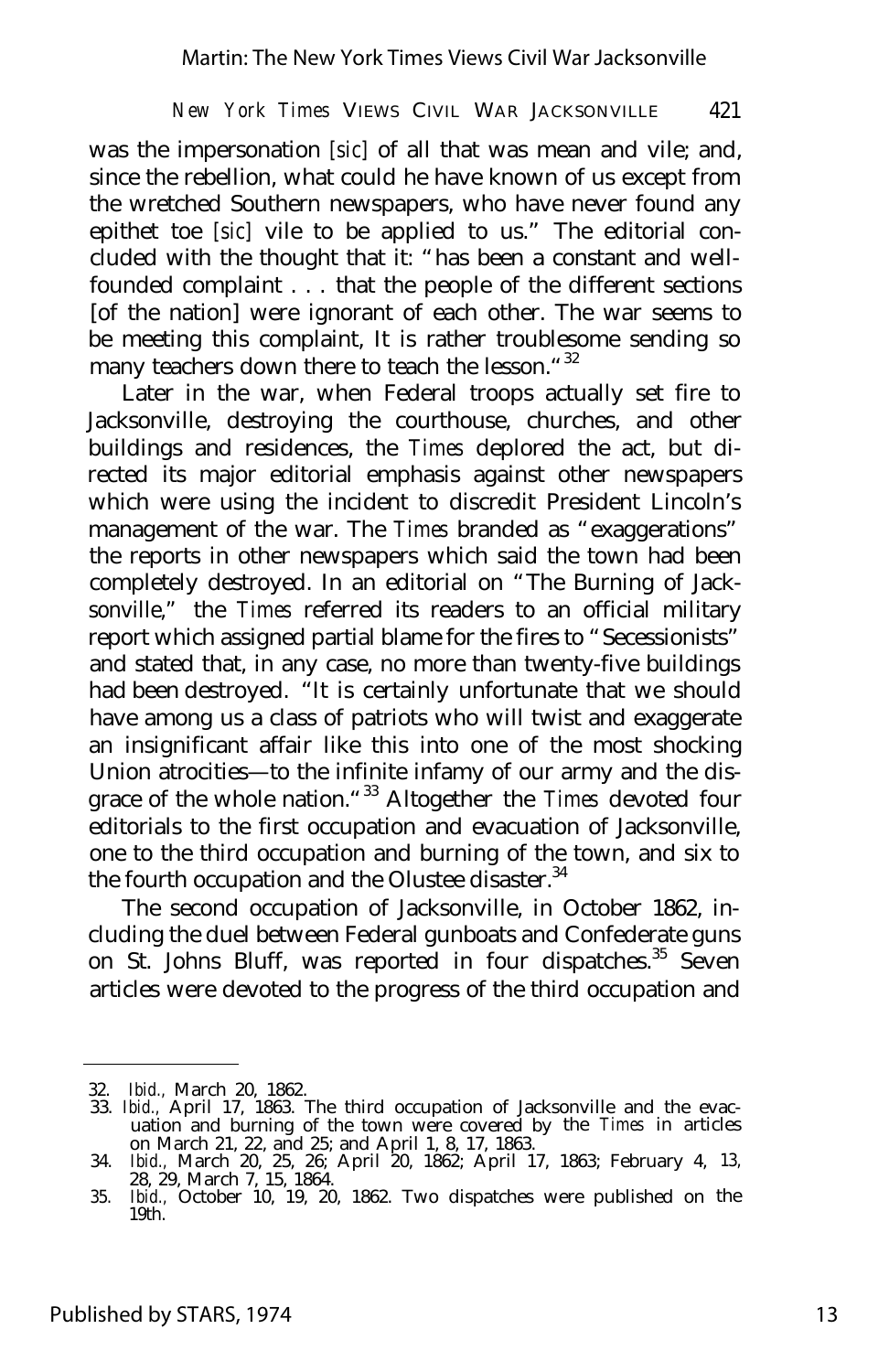was the impersonation *[sic]* of all that was mean and vile; and, since the rebellion, what could he have known of us except from the wretched Southern newspapers, who have never found any epithet toe *[sic]* vile to be applied to us." The editorial concluded with the thought that it: "has been a constant and wellfounded complaint . . . that the people of the different sections [of the nation] were ignorant of each other. The war seems to be meeting this complaint, It is rather troublesome sending so many teachers down there to teach the lesson."<sup>32</sup>

Later in the war, when Federal troops actually set fire to Jacksonville, destroying the courthouse, churches, and other buildings and residences, the *Times* deplored the act, but directed its major editorial emphasis against other newspapers which were using the incident to discredit President Lincoln's management of the war. The *Times* branded as "exaggerations" the reports in other newspapers which said the town had been completely destroyed. In an editorial on "The Burning of Jacksonville," the *Times* referred its readers to an official military report which assigned partial blame for the fires to "Secessionists" and stated that, in any case, no more than twenty-five buildings had been destroyed. "It is certainly unfortunate that we should have among us a class of patriots who will twist and exaggerate an insignificant affair like this into one of the most shocking Union atrocities— to the infinite infamy of our army and the disgrace of the whole nation."<sup>33</sup> Altogether the *Times* devoted four editorials to the first occupation and evacuation of Jacksonville, one to the third occupation and burning of the town, and six to the fourth occupation and the Olustee disaster.<sup>34</sup>

The second occupation of Jacksonville, in October 1862, including the duel between Federal gunboats and Confederate guns on St. Johns Bluff, was reported in four dispatches.<sup>35</sup> Seven articles were devoted to the progress of the third occupation and

<sup>32.</sup> *Ibid.,* March 20, 1862. 33. *Ibid.,* April 17, 1863. The third occupation of Jacksonville and the evacuation and burning of the town were covered by the *Times* in articles

<sup>34.</sup> on March 21, 22, and 25; and April 1, 8, 17, 1863. *Ibid.,* March 20, 25, 26; April 20, 1862; April 17, 1863; February 4, 13,

<sup>28, 29,</sup> March 7, 15, 1864. 35. *Ibid.,* October 10, 19, 20, 1862. Two dispatches were published on the 19th.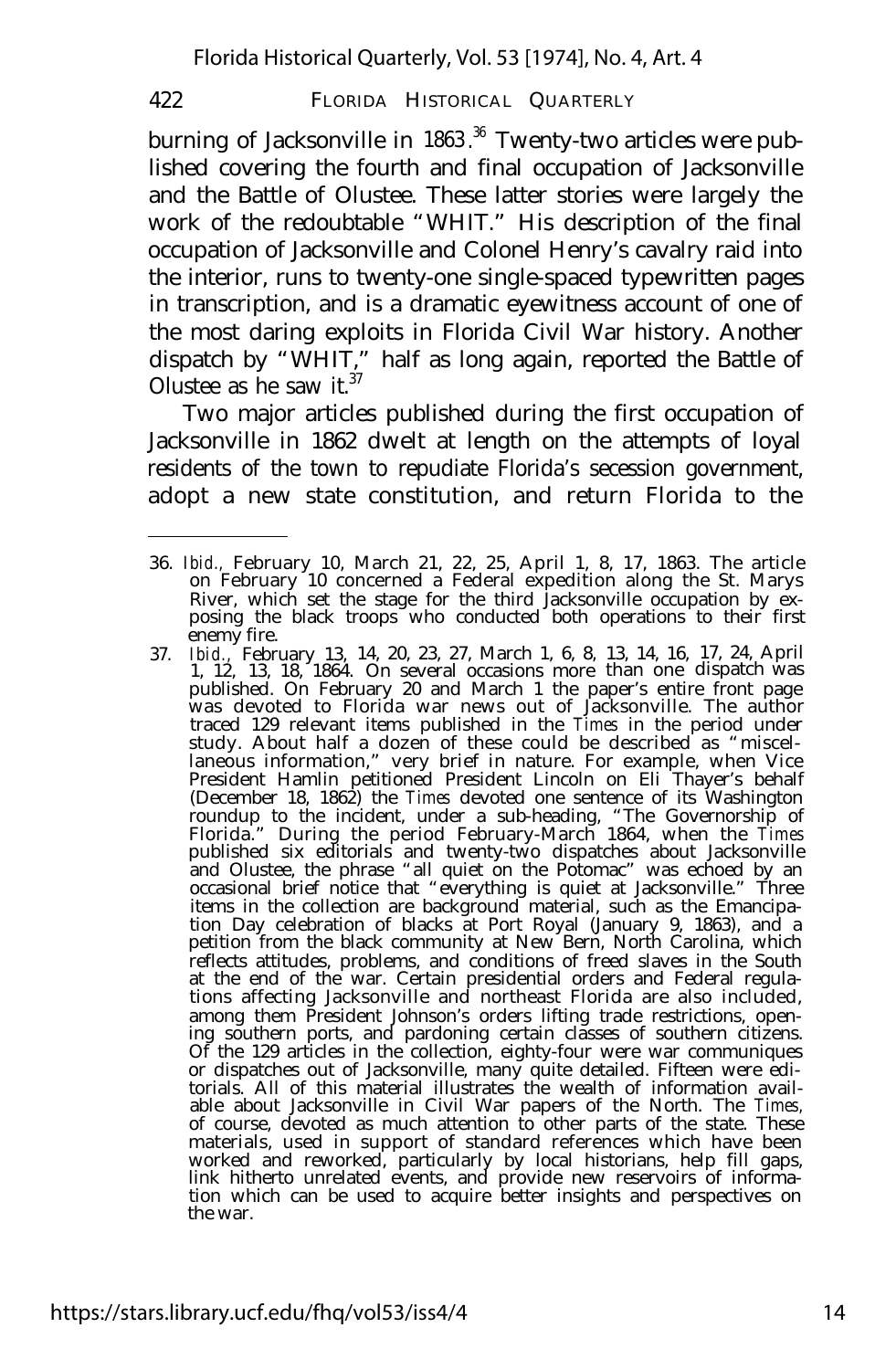burning of Jacksonville in 1863.<sup>36</sup> Twenty-two articles were published covering the fourth and final occupation of Jacksonville and the Battle of Olustee. These latter stories were largely the work of the redoubtable "WHIT." His description of the final occupation of Jacksonville and Colonel Henry's cavalry raid into the interior, runs to twenty-one single-spaced typewritten pages in transcription, and is a dramatic eyewitness account of one of the most daring exploits in Florida Civil War history. Another dispatch by "WHIT," half as long again, reported the Battle of Olustee as he saw it. $37$ 

Two major articles published during the first occupation of Jacksonville in 1862 dwelt at length on the attempts of loyal residents of the town to repudiate Florida's secession government, adopt a new state constitution, and return Florida to the

<sup>36.</sup> *Ibid.,* February 10, March 21, 22, 25, April 1, 8, 17, 1863. The article on February 10 concerned a Federal expedition along the St. Marys River, which set the stage for the third Jacksonville occupation by exposing the black troops who conducted both operations to their first enemy fire.

<sup>37.</sup> *Ibid.*, February 13, 14, 20, 23, 27, March 1, 6, 8, 13, 14, 16, 17, 24, April<br>1, 12, 13, 18, 1864. On several occasions more than one dispatch was published. On February 20 and March 1 the paper's entire front page was devoted to Florida war news out of Jacksonville. The author traced 129 relevant items published in the *Times* in the period under study. About half a dozen of these could be described as "miscel-<br>laneous information," very brief in nature. For example, when Vice<br>President Hamlin petitioned President Lincoln on Eli Thayer's behalf (December 18, 1862) the *Times* devoted one sentence of its Washington roundup to the incident, under a sub-heading, "The Governorship of Florida." During the period February-March 1864, when the *Times* published six editorials and twenty-two dispatches about Jacksonville<br>and Olustee, the phrase "all quiet on the Potomac" was echoed by an<br>occasional brief notice that "everything is quiet at Jacksonville." Three<br>items in t tion Day celebration of blacks at Port Royal (January 9, 1863), and a petition from the black community at New Bern, North Carolina, which reflects attitudes, problems, and conditions of freed slaves in the South at the end of the war. Certain presidential orders and Federal regula-tions affecting Jacksonville and northeast Florida are also included, among them President Johnson's orders lifting trade restrictions, opening southern ports, and pardoning certain classes of southern citizens. Of the 129 articles in the collection, eighty-four were war communiques or dispatches out of Jacksonville, many quite detailed. Fifteen were edi-<br>torials. All of this material illustrates the wealth of information avail-<br>able about Jacksonville in Civil War papers of the North. The *Times*,<br>of worked and reworked, particularly by local historians, help fill gaps, link hitherto unrelated events, and provide new reservoirs of informa-tion which can be used to acquire better insights and perspectives on the war.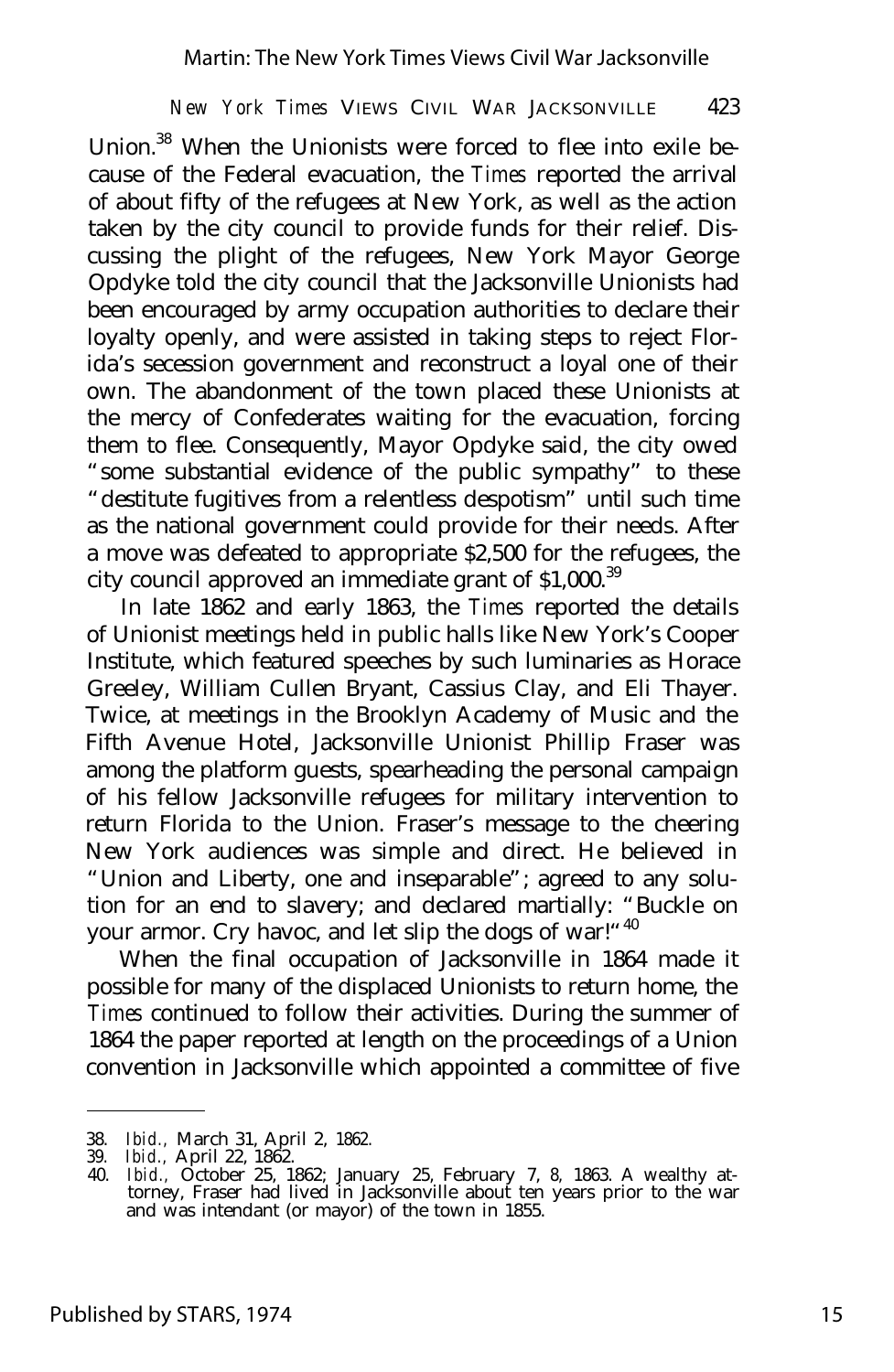Union.<sup>38</sup> When the Unionists were forced to flee into exile because of the Federal evacuation, the *Times* reported the arrival of about fifty of the refugees at New York, as well as the action taken by the city council to provide funds for their relief. Discussing the plight of the refugees, New York Mayor George Opdyke told the city council that the Jacksonville Unionists had been encouraged by army occupation authorities to declare their loyalty openly, and were assisted in taking steps to reject Florida's secession government and reconstruct a loyal one of their own. The abandonment of the town placed these Unionists at the mercy of Confederates waiting for the evacuation, forcing them to flee. Consequently, Mayor Opdyke said, the city owed "some substantial evidence of the public sympathy" to these "destitute fugitives from a relentless despotism" until such time as the national government could provide for their needs. After a move was defeated to appropriate \$2,500 for the refugees, the city council approved an immediate grant of  $$1,000$ <sup>39</sup>

In late 1862 and early 1863, the *Times* reported the details of Unionist meetings held in public halls like New York's Cooper Institute, which featured speeches by such luminaries as Horace Greeley, William Cullen Bryant, Cassius Clay, and Eli Thayer. Twice, at meetings in the Brooklyn Academy of Music and the Fifth Avenue Hotel, Jacksonville Unionist Phillip Fraser was among the platform guests, spearheading the personal campaign of his fellow Jacksonville refugees for military intervention to return Florida to the Union. Fraser's message to the cheering New York audiences was simple and direct. He believed in "Union and Liberty, one and inseparable"; agreed to any solution for an end to slavery; and declared martially: "Buckle on your armor. Cry havoc, and let slip the dogs of war!"<sup>40</sup>

When the final occupation of Jacksonville in 1864 made it possible for many of the displaced Unionists to return home, the *Times* continued to follow their activities. During the summer of 1864 the paper reported at length on the proceedings of a Union convention in Jacksonville which appointed a committee of five

<sup>38.</sup> *Ibid.,* March 31, April 2, 1862.

<sup>39.</sup> *Ibid.,* April 22, 1862. 40. *Ibid.,* October 25, 1862; January 25, February 7, 8, 1863. A wealthy at-torney, Fraser had lived in Jacksonville about ten years prior to the war and was intendant (or mayor) of the town in 1855.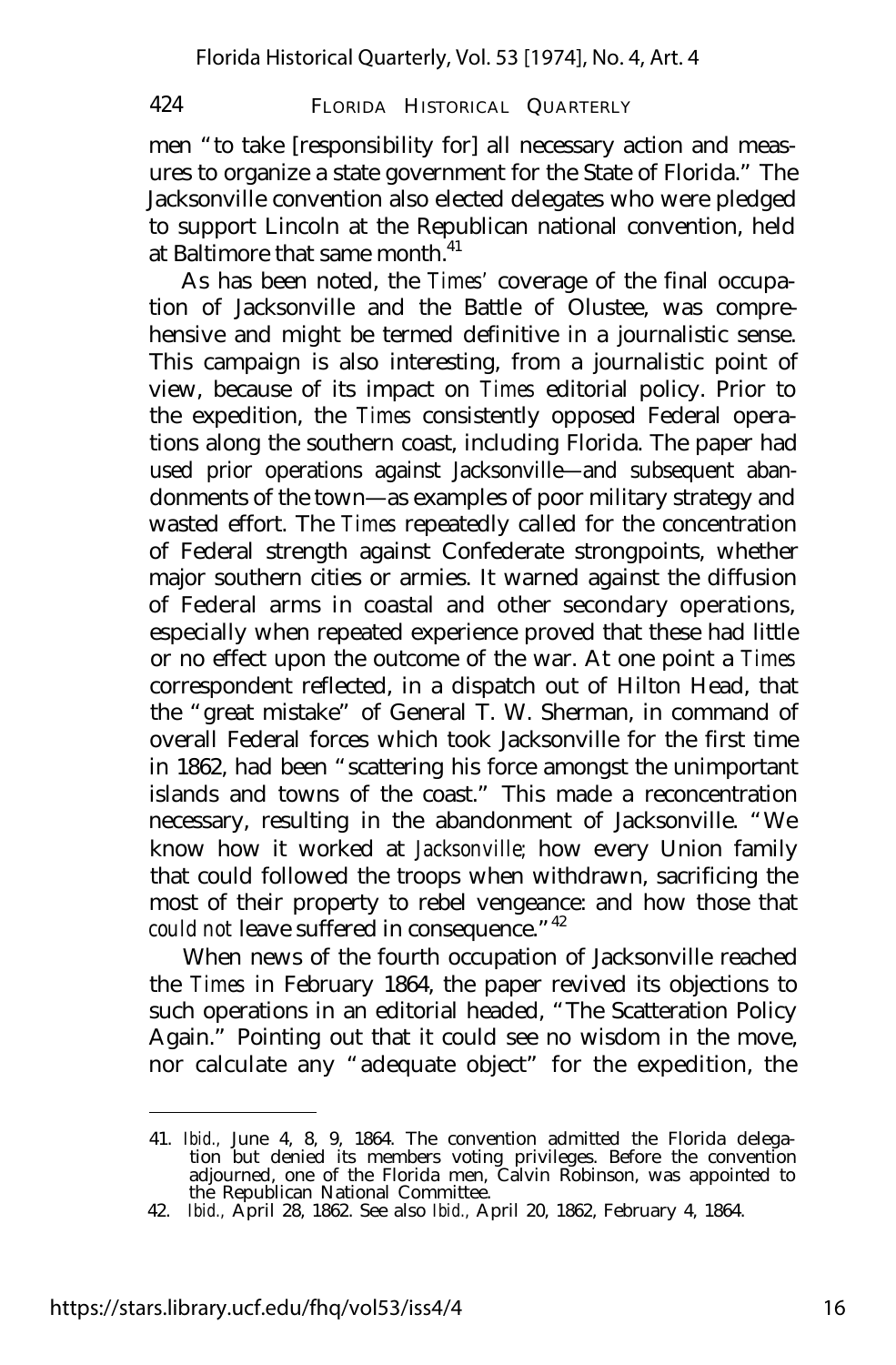men "to take [responsibility for] all necessary action and measures to organize a state government for the State of Florida." The Jacksonville convention also elected delegates who were pledged to support Lincoln at the Republican national convention, held at Baltimore that same month<sup>41</sup>

As has been noted, the *Times'* coverage of the final occupation of Jacksonville and the Battle of Olustee, was comprehensive and might be termed definitive in a journalistic sense. This campaign is also interesting, from a journalistic point of view, because of its impact on *Times* editorial policy. Prior to the expedition, the *Times* consistently opposed Federal operations along the southern coast, including Florida. The paper had used prior operations against Jacksonville— and subsequent abandonments of the town— as examples of poor military strategy and wasted effort. The *Times* repeatedly called for the concentration of Federal strength against Confederate strongpoints, whether major southern cities or armies. It warned against the diffusion of Federal arms in coastal and other secondary operations, especially when repeated experience proved that these had little or no effect upon the outcome of the war. At one point a *Times* correspondent reflected, in a dispatch out of Hilton Head, that the "great mistake" of General T. W. Sherman, in command of overall Federal forces which took Jacksonville for the first time in 1862, had been "scattering his force amongst the unimportant islands and towns of the coast." This made a reconcentration necessary, resulting in the abandonment of Jacksonville. "We know how it worked at *Jacksonville;* how every Union family that could followed the troops when withdrawn, sacrificing the most of their property to rebel vengeance: and how those that *could not leave suffered in consequence.*"<sup>42</sup>

When news of the fourth occupation of Jacksonville reached the *Times* in February 1864, the paper revived its objections to such operations in an editorial headed, "The Scatteration Policy Again." Pointing out that it could see no wisdom in the move, nor calculate any "adequate object" for the expedition, the

<sup>41.</sup> *Ibid.,* June 4, 8, 9, 1864. The convention admitted the Florida delegation but denied its members voting privileges. Before the convention adjourned, one of the Florida men, Calvin Robinson, was appointed to the Republican National Committee.

<sup>42.</sup> *Ibid.,* April 28, 1862. See also *Ibid.,* April 20, 1862, February 4, 1864.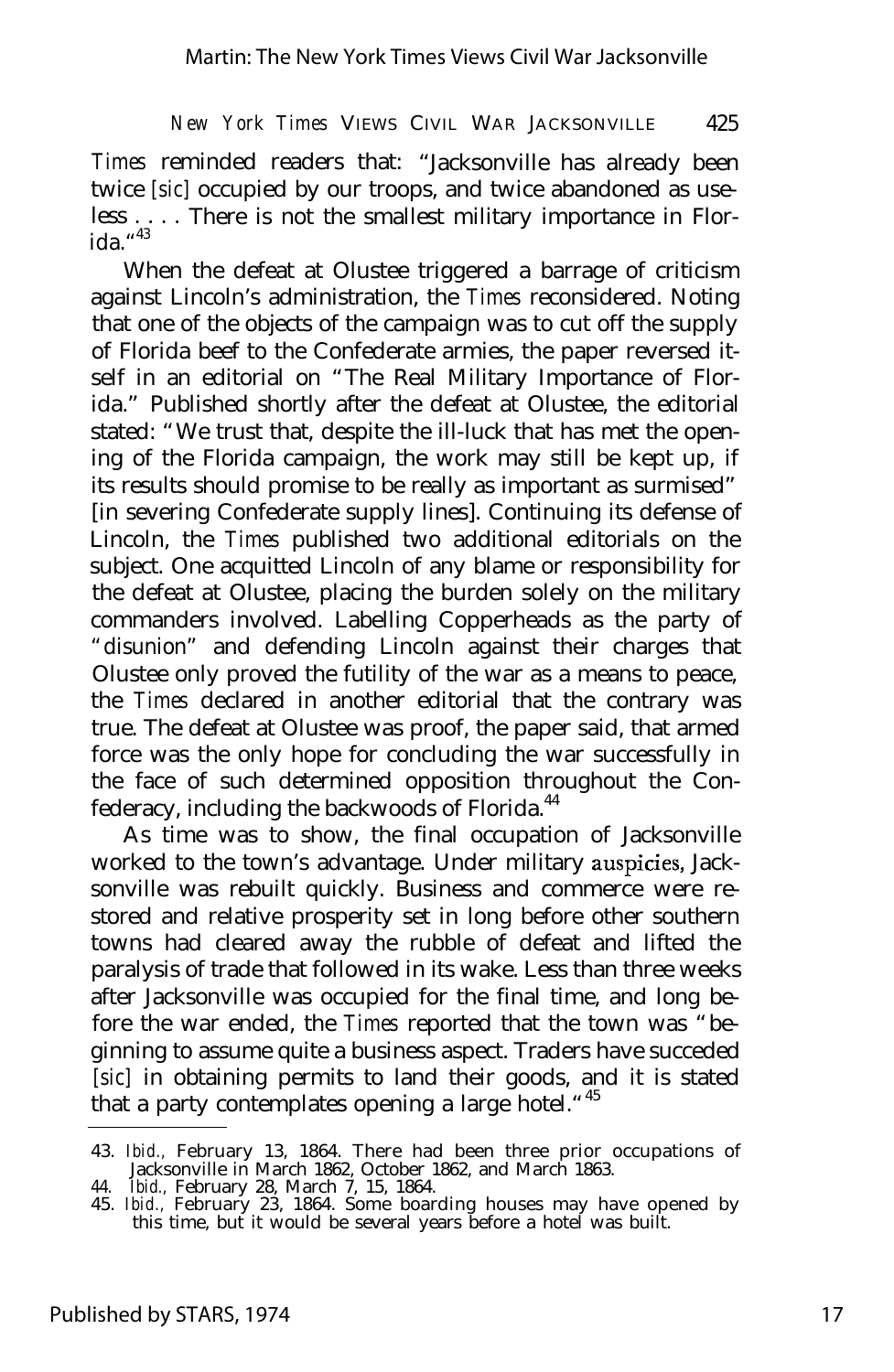*Times* reminded readers that: "Jacksonville has already been twice *[sic]* occupied by our troops, and twice abandoned as useless . . . . There is not the smallest military importance in Florida." 43

When the defeat at Olustee triggered a barrage of criticism against Lincoln's administration, the *Times* reconsidered. Noting that one of the objects of the campaign was to cut off the supply of Florida beef to the Confederate armies, the paper reversed itself in an editorial on "The Real Military Importance of Florida." Published shortly after the defeat at Olustee, the editorial stated: "We trust that, despite the ill-luck that has met the opening of the Florida campaign, the work may still be kept up, if its results should promise to be really as important as surmised" [in severing Confederate supply lines]. Continuing its defense of Lincoln, the *Times* published two additional editorials on the subject. One acquitted Lincoln of any blame or responsibility for the defeat at Olustee, placing the burden solely on the military commanders involved. Labelling Copperheads as the party of "disunion" and defending Lincoln against their charges that Olustee only proved the futility of the war as a means to peace, the *Times* declared in another editorial that the contrary was true. The defeat at Olustee was proof, the paper said, that armed force was the only hope for concluding the war successfully in the face of such determined opposition throughout the Confederacy, including the backwoods of Florida.<sup>44</sup>

As time was to show, the final occupation of Jacksonville worked to the town's advantage. Under military auspicies, Jacksonville was rebuilt quickly. Business and commerce were restored and relative prosperity set in long before other southern towns had cleared away the rubble of defeat and lifted the paralysis of trade that followed in its wake. Less than three weeks after Jacksonville was occupied for the final time, and long before the war ended, the *Times* reported that the town was "beginning to assume quite a business aspect. Traders have succeded *[sic]* in obtaining permits to land their goods, and it is stated that a party contemplates opening a large hotel."<sup>45</sup>

<sup>43.</sup> *Ibid.,* February 13, 1864. There had been three prior occupations of Jacksonville in March 1862, October 1862, and March 1863.<br>44. *Ibid.,* February 28, March 7, 15, 1864.<br>45. *Ibid.,* February 23, 1864. Some boarding

this time, but it would be several years before a hotel was built.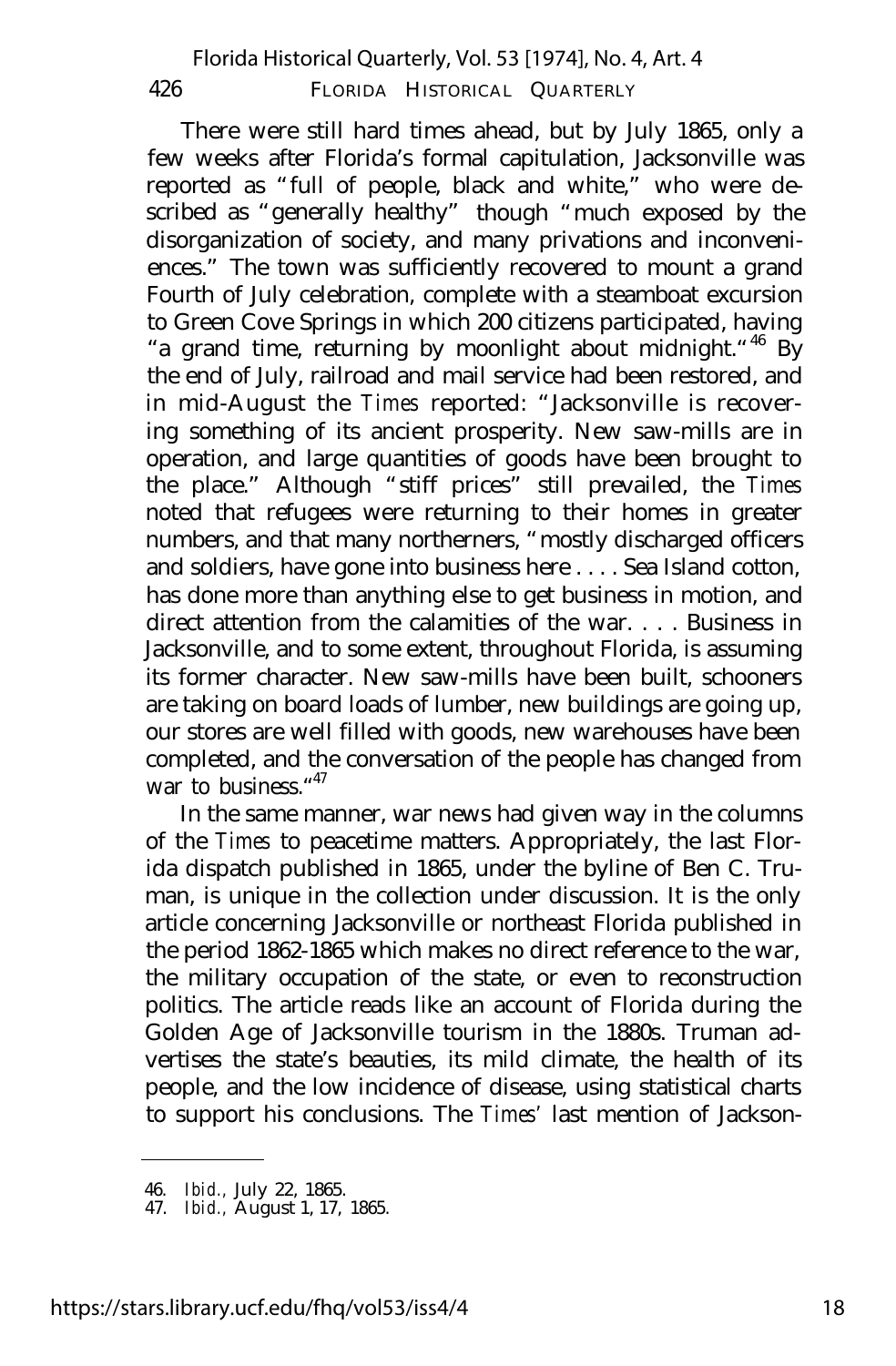There were still hard times ahead, but by July 1865, only a few weeks after Florida's formal capitulation, Jacksonville was reported as "full of people, black and white," who were described as "generally healthy" though "much exposed by the disorganization of society, and many privations and inconveniences." The town was sufficiently recovered to mount a grand Fourth of July celebration, complete with a steamboat excursion to Green Cove Springs in which 200 citizens participated, having "a grand time, returning by moonlight about midnight."<sup>46</sup> By the end of July, railroad and mail service had been restored, and in mid-August the *Times* reported: "Jacksonville is recovering something of its ancient prosperity. New saw-mills are in operation, and large quantities of goods have been brought to the place." Although "stiff prices" still prevailed, the *Times* noted that refugees were returning to their homes in greater numbers, and that many northerners, "mostly discharged officers and soldiers, have gone into business here . . . . Sea Island cotton, has done more than anything else to get business in motion, and direct attention from the calamities of the war. . . . Business in Jacksonville, and to some extent, throughout Florida, is assuming its former character. New saw-mills have been built, schooners are taking on board loads of lumber, new buildings are going up, our stores are well filled with goods, new warehouses have been completed, and the conversation of the people has changed from war to business. "47

In the same manner, war news had given way in the columns of the *Times* to peacetime matters. Appropriately, the last Florida dispatch published in 1865, under the byline of Ben C. Truman, is unique in the collection under discussion. It is the only article concerning Jacksonville or northeast Florida published in the period 1862-1865 which makes no direct reference to the war, the military occupation of the state, or even to reconstruction politics. The article reads like an account of Florida during the Golden Age of Jacksonville tourism in the 1880s. Truman advertises the state's beauties, its mild climate, the health of its people, and the low incidence of disease, using statistical charts to support his conclusions. The *Times'* last mention of Jackson-

<sup>46.</sup> *Ibid.,* July 22, 1865. 47. *Ibid.,* August 1, 17, 1865.